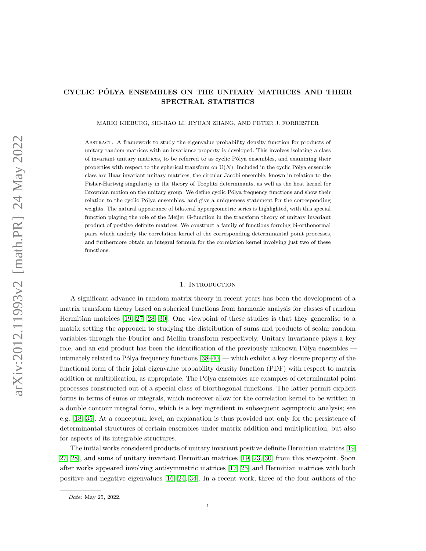# CYCLIC POLYA ENSEMBLES ON THE UNITARY MATRICES AND THEIR ´ SPECTRAL STATISTICS

MARIO KIEBURG, SHI-HAO LI, JIYUAN ZHANG, AND PETER J. FORRESTER

Abstract. A framework to study the eigenvalue probability density function for products of unitary random matrices with an invariance property is developed. This involves isolating a class of invariant unitary matrices, to be referred to as cyclic Pólya ensembles, and examining their properties with respect to the spherical transform on  $U(N)$ . Included in the cyclic Pólya ensemble class are Haar invariant unitary matrices, the circular Jacobi ensemble, known in relation to the Fisher-Hartwig singularity in the theory of Toeplitz determinants, as well as the heat kernel for Brownian motion on the unitary group. We define cyclic Pólya frequency functions and show their relation to the cyclic Pólya ensembles, and give a uniqueness statement for the corresponding weights. The natural appearance of bilateral hypergeometric series is highlighted, with this special function playing the role of the Meijer G-function in the transform theory of unitary invariant product of positive definite matrices. We construct a family of functions forming bi-orthonormal pairs which underly the correlation kernel of the corresponding determinantal point processes, and furthermore obtain an integral formula for the correlation kernel involving just two of these functions.

#### 1. INTRODUCTION

A significant advance in random matrix theory in recent years has been the development of a matrix transform theory based on spherical functions from harmonic analysis for classes of random Hermitian matrices [\[19,](#page-35-0) [27,](#page-35-1) [28,](#page-35-2) [30\]](#page-35-3). One viewpoint of these studies is that they generalise to a matrix setting the approach to studying the distribution of sums and products of scalar random variables through the Fourier and Mellin transform respectively. Unitary invariance plays a key role, and an end product has been the identification of the previously unknown Pólya ensembles  $$ intimately related to Pólya frequency functions  $[38-40]$  $[38-40]$  — which exhibit a key closure property of the functional form of their joint eigenvalue probability density function (PDF) with respect to matrix addition or multiplication, as appropriate. The Pólya ensembles are examples of determinantal point processes constructed out of a special class of biorthogonal functions. The latter permit explicit forms in terms of sums or integrals, which moreover allow for the correlation kernel to be written in a double contour integral form, which is a key ingredient in subsequent asymptotic analysis; see e.g. [\[18,](#page-34-0) [35\]](#page-35-5). At a conceptual level, an explanation is thus provided not only for the persistence of determinantal structures of certain ensembles under matrix addition and multiplication, but also for aspects of its integrable structures.

The initial works considered products of unitary invariant positive definite Hermitian matrices [\[19,](#page-35-0) [27,](#page-35-1) [28\]](#page-35-2), and sums of unitary invariant Hermitian matrices [\[19,](#page-35-0) [23,](#page-35-6) [30\]](#page-35-3) from this viewpoint. Soon after works appeared involving antisymmetric matrices [\[17,](#page-34-1) [25\]](#page-35-7) and Hermitian matrices with both positive and negative eigenvalues [\[16,](#page-34-2) [24,](#page-35-8) [34\]](#page-35-9). In a recent work, three of the four authors of the

Date: May 25, 2022.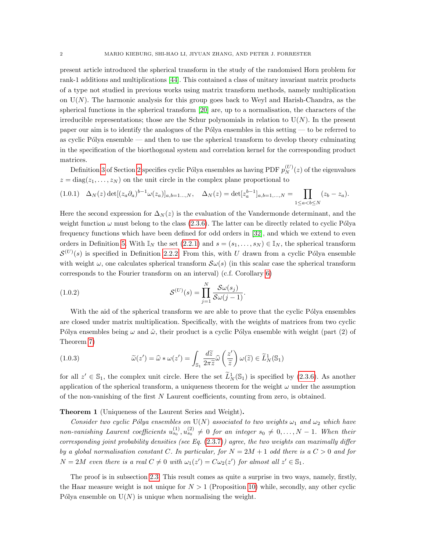present article introduced the spherical transform in the study of the randomised Horn problem for rank-1 additions and multiplications [\[44\]](#page-36-1). This contained a class of unitary invariant matrix products of a type not studied in previous works using matrix transform methods, namely multiplication on  $U(N)$ . The harmonic analysis for this group goes back to Weyl and Harish-Chandra, as the spherical functions in the spherical transform [\[20\]](#page-35-10) are, up to a normalisation, the characters of the irreducible representations; those are the Schur polynomials in relation to  $U(N)$ . In the present paper our aim is to identify the analogues of the Pólya ensembles in this setting — to be referred to as cyclic Pólya ensemble — and then to use the spherical transform to develop theory culminating in the specification of the biorthogonal system and correlation kernel for the corresponding product matrices.

Definition [3](#page-11-0) of Section [2](#page-3-0) specifies cyclic Pólya ensembles as having PDF  $p_N^{(U)}(z)$  of the eigenvalues  $z = diag(z_1, \ldots, z_N)$  on the unit circle in the complex plane proportional to

<span id="page-1-0"></span>
$$
(1.0.1) \quad \Delta_N(z) \det[(z_a \partial_a)^{b-1} \omega(z_a)]_{a,b=1...,N}, \quad \Delta_N(z) = \det[z_a^{b-1}]_{a,b=1,...,N} = \prod_{1 \le a < b \le N} (z_b - z_a).
$$

Here the second expression for  $\Delta_N(z)$  is the evaluation of the Vandermonde determinant, and the weight function  $\omega$  must belong to the class [\(2.3.6\)](#page-10-0). The latter can be directly related to cyclic Pólya frequency functions which have been defined for odd orders in [\[32\]](#page-35-11), and which we extend to even orders in Definition [5.](#page-22-0) With  $\mathbb{I}_N$  the set  $(2.2.1)$  and  $s = (s_1, \ldots, s_N) \in \mathbb{I}_N$ , the spherical transform  $\mathcal{S}^{(U)}(s)$  is specified in Definition [2.2.2.](#page-6-1) From this, with U drawn from a cyclic Pólya ensemble with weight  $\omega$ , one calculates spherical transform  $\mathcal{S}\omega(s)$  (in this scalar case the spherical transform corresponds to the Fourier transform on an interval) (c.f. Corollary [6\)](#page-11-1)

<span id="page-1-1"></span>(1.0.2) 
$$
\mathcal{S}^{(U)}(s) = \prod_{j=1}^{N} \frac{\mathcal{S}\omega(s_j)}{\mathcal{S}\omega(j-1)}.
$$

With the aid of the spherical transform we are able to prove that the cyclic Pólya ensembles are closed under matrix multiplication. Specifically, with the weights of matrices from two cyclic Pólya ensembles being  $\omega$  and  $\hat{\omega}$ , their product is a cyclic Pólya ensemble with weight (part (2) of Theorem [7\)](#page-12-0)

<span id="page-1-2"></span>(1.0.3) 
$$
\widetilde{\omega}(z') = \widehat{\omega} * \omega(z') = \int_{\mathbb{S}_1} \frac{d\widetilde{z}}{2\pi \widetilde{z}} \widehat{\omega}\left(\frac{z'}{\widetilde{z}}\right) \omega(\widetilde{z}) \in \widetilde{L}_N^1(\mathbb{S}_1)
$$

for all  $z' \in \mathbb{S}_1$ , the complex unit circle. Here the set  $\tilde{L}_N^1(\mathbb{S}_1)$  is specified by [\(2.3.6\)](#page-10-0). As another application of the spherical transform, a uniqueness theorem for the weight  $\omega$  under the assumption of the non-vanishing of the first N Laurent coefficients, counting from zero, is obtained.

## <span id="page-1-3"></span>Theorem 1 (Uniqueness of the Laurent Series and Weight).

Consider two cyclic Pólya ensembles on  $U(N)$  associated to two weights  $\omega_1$  and  $\omega_2$  which have non-vanishing Laurent coefficients  $u_{s_0}^{(1)}, u_{s_0}^{(2)} \neq 0$  for an integer  $s_0 \neq 0, \ldots, N-1$ . When their corresponding joint probability densities (see Eq.  $(2.3.7)$ ) agree, the two weights can maximally differ by a global normalisation constant C. In particular, for  $N = 2M + 1$  odd there is a  $C > 0$  and for  $N = 2M$  even there is a real  $C \neq 0$  with  $\omega_1(z') = C \omega_2(z')$  for almost all  $z' \in \mathbb{S}_1$ .

The proof is in subsection [2.3.](#page-10-1) This result comes as quite a surprise in two ways, namely, firstly, the Haar measure weight is not unique for  $N > 1$  (Proposition [10\)](#page-15-0) while, secondly, any other cyclic Pólya ensemble on  $U(N)$  is unique when normalising the weight.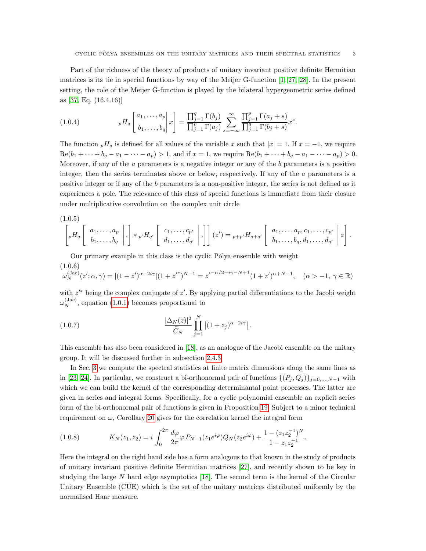Part of the richness of the theory of products of unitary invariant positive definite Hermitian matrices is its tie in special functions by way of the Meijer G-function [\[1,](#page-34-3) [27,](#page-35-1) [28\]](#page-35-2). In the present setting, the role of the Meijer G-function is played by the bilateral hypergeometric series defined as [\[37,](#page-35-12) Eq. (16.4.16)]

<span id="page-2-2"></span>(1.0.4) 
$$
{}_{p}H_{q}\left[\begin{matrix}a_{1},\ldots,a_{p}\\b_{1},\ldots,b_{q}\end{matrix}\bigg|x\right]=\frac{\prod_{j=1}^{q}\Gamma(b_{j})}{\prod_{j=1}^{p}\Gamma(a_{j})}\sum_{s=-\infty}^{\infty}\frac{\prod_{j=1}^{p}\Gamma(a_{j}+s)}{\prod_{j=1}^{q}\Gamma(b_{j}+s)}x^{s}.
$$

The function  $pH_q$  is defined for all values of the variable x such that  $|x| = 1$ . If  $x = -1$ , we require  $\text{Re}(b_1 + \cdots + b_q - a_1 - \cdots - a_p) > 1$ , and if  $x = 1$ , we require  $\text{Re}(b_1 + \cdots + b_q - a_1 - \cdots - a_p) > 0$ . Moreover, if any of the  $a$  parameters is a negative integer or any of the  $b$  parameters is a positive integer, then the series terminates above or below, respectively. If any of the a parameters is a positive integer or if any of the b parameters is a non-positive integer, the series is not defined as it experiences a pole. The relevance of this class of special functions is immediate from their closure under multiplicative convolution on the complex unit circle

<span id="page-2-3"></span>
$$
(1.0.5)
$$

$$
\left[pH_q\left[\begin{array}{c} a_1,\ldots,a_p \\ b_1,\ldots,b_q \end{array}\bigg|\right.\cdot\right]*p'H_{q'}\left[\begin{array}{c} c_1,\ldots,c_{p'} \\ d_1,\ldots,d_{q'} \end{array}\bigg|\right]\right](z')=p+p'H_{q+q'}\left[\begin{array}{c} a_1,\ldots,a_p,c_1,\ldots,c_{p'} \\ b_1,\ldots,b_q,d_1,\ldots,d_{q'} \end{array}\bigg|z\right].
$$

Our primary example in this class is the cyclic Pólya ensemble with weight

(1.0.6)

<span id="page-2-1"></span>
$$
\omega_N^{(\text{Jac})}(z';\alpha,\gamma) = |(1+z')^{\alpha-2i\gamma}|(1+z'^*)^{N-1} = z'^{-\alpha/2-i\gamma-N+1}(1+z')^{\alpha+N-1}, \quad (\alpha > -1, \gamma \in \mathbb{R})
$$

with  $z'^*$  being the complex conjugate of  $z'$ . By applying partial differentiations to the Jacobi weight  $\omega_N^{\text{(Jac)}}$ , equation [\(1.0.1\)](#page-1-0) becomes proportional to

<span id="page-2-0"></span>(1.0.7) 
$$
\frac{|\Delta_N(z)|^2}{\widetilde{C}_N} \prod_{j=1}^N |(1+z_j)^{\alpha-2i\gamma}|.
$$

This ensemble has also been considered in [\[18\]](#page-34-0), as an analogue of the Jacobi ensemble on the unitary group. It will be discussed further in subsection [2.4.3.](#page-17-0)

In Sec. [3](#page-28-0) we compute the spectral statistics at finite matrix dimensions along the same lines as in [\[23,](#page-35-6) [24\]](#page-35-8). In particular, we construct a bi-orthonormal pair of functions  $\{(P_j, Q_j)\}_{j=0,\ldots,N-1}$  with which we can build the kernel of the corresponding determinantal point processes. The latter are given in series and integral forms. Specifically, for a cyclic polynomial ensemble an explicit series form of the bi-orthonormal pair of functions is given in Proposition [19.](#page-29-0) Subject to a minor technical requirement on  $\omega$ , Corollary [20](#page-30-0) gives for the correlation kernel the integral form

<span id="page-2-4"></span>(1.0.8) 
$$
K_N(z_1, z_2) = i \int_0^{2\pi} \frac{d\varphi}{2\pi} \varphi P_{N-1}(z_1 e^{i\varphi}) Q_N(z_2 e^{i\varphi}) + \frac{1 - (z_1 z_2^{-1})^N}{1 - z_1 z_2^{-1}}.
$$

Here the integral on the right hand side has a form analogous to that known in the study of products of unitary invariant positive definite Hermitian matrices [\[27\]](#page-35-1), and recently shown to be key in studying the large N hard edge asymptotics [\[18\]](#page-34-0). The second term is the kernel of the Circular Unitary Ensemble (CUE) which is the set of the unitary matrices distributed uniformly by the normalised Haar measure.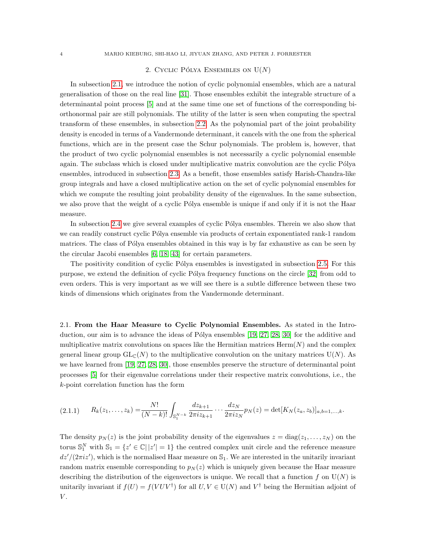## 2. CYCLIC PÓLYA ENSEMBLES ON  $U(N)$

<span id="page-3-0"></span>In subsection [2.1,](#page-3-1) we introduce the notion of cyclic polynomial ensembles, which are a natural generalisation of those on the real line [\[31\]](#page-35-13). Those ensembles exhibit the integrable structure of a determinantal point process [\[5\]](#page-34-4) and at the same time one set of functions of the corresponding biorthonormal pair are still polynomials. The utility of the latter is seen when computing the spectral transform of these ensembles, in subsection [2.2.](#page-5-0) As the polynomial part of the joint probability density is encoded in terms of a Vandermonde determinant, it cancels with the one from the spherical functions, which are in the present case the Schur polynomials. The problem is, however, that the product of two cyclic polynomial ensembles is not necessarily a cyclic polynomial ensemble again. The subclass which is closed under multiplicative matrix convolution are the cyclic Pólya ensembles, introduced in subsection [2.3.](#page-10-1) As a benefit, those ensembles satisfy Harish-Chandra-like group integrals and have a closed multiplicative action on the set of cyclic polynomial ensembles for which we compute the resulting joint probability density of the eigenvalues. In the same subsection, we also prove that the weight of a cyclic Pólya ensemble is unique if and only if it is not the Haar measure.

In subsection [2.4](#page-15-1) we give several examples of cyclic Pólya ensembles. Therein we also show that we can readily construct cyclic Pólya ensemble via products of certain exponentiated rank-1 random matrices. The class of Pólya ensembles obtained in this way is by far exhaustive as can be seen by the circular Jacobi ensembles [\[6,](#page-34-5) [18,](#page-34-0) [43\]](#page-36-2) for certain parameters.

The positivity condition of cyclic Pólya ensembles is investigated in subsection [2.5.](#page-22-1) For this purpose, we extend the definition of cyclic Pólya frequency functions on the circle [\[32\]](#page-35-11) from odd to even orders. This is very important as we will see there is a subtle difference between these two kinds of dimensions which originates from the Vandermonde determinant.

<span id="page-3-1"></span>2.1. From the Haar Measure to Cyclic Polynomial Ensembles. As stated in the Introduction, our aim is to advance the ideas of Pólya ensembles  $[19, 27, 28, 30]$  $[19, 27, 28, 30]$  $[19, 27, 28, 30]$  $[19, 27, 28, 30]$  $[19, 27, 28, 30]$  $[19, 27, 28, 30]$  for the additive and multiplicative matrix convolutions on spaces like the Hermitian matrices  $\text{Herm}(N)$  and the complex general linear group  $GL_{\mathbb{C}}(N)$  to the multiplicative convolution on the unitary matrices U(N). As we have learned from [\[19,](#page-35-0) [27,](#page-35-1) [28,](#page-35-2) [30\]](#page-35-3), those ensembles preserve the structure of determinantal point processes [\[5\]](#page-34-4) for their eigenvalue correlations under their respective matrix convolutions, i.e., the k-point correlation function has the form

<span id="page-3-2"></span>
$$
(2.1.1) \t R_k(z_1,\ldots,z_k) = \frac{N!}{(N-k)!} \int_{\mathbb{S}_1^{N-k}} \frac{dz_{k+1}}{2\pi i z_{k+1}} \cdots \frac{dz_N}{2\pi i z_N} p_N(z) = \det[K_N(z_a,z_b)]_{a,b=1,\ldots,k}.
$$

The density  $p_N(z)$  is the joint probability density of the eigenvalues  $z = diag(z_1, \ldots, z_N)$  on the torus  $\mathbb{S}_1^N$  with  $\mathbb{S}_1 = \{z' \in \mathbb{C} | |z'| = 1\}$  the centred complex unit circle and the reference measure  $dz'/(2\pi i z')$ , which is the normalised Haar measure on  $\mathbb{S}_1$ . We are interested in the unitarily invariant random matrix ensemble corresponding to  $p_N(z)$  which is uniquely given because the Haar measure describing the distribution of the eigenvectors is unique. We recall that a function f on  $U(N)$  is unitarily invariant if  $f(U) = f(VUV^{\dagger})$  for all  $U, V \in U(N)$  and  $V^{\dagger}$  being the Hermitian adjoint of  $V$ .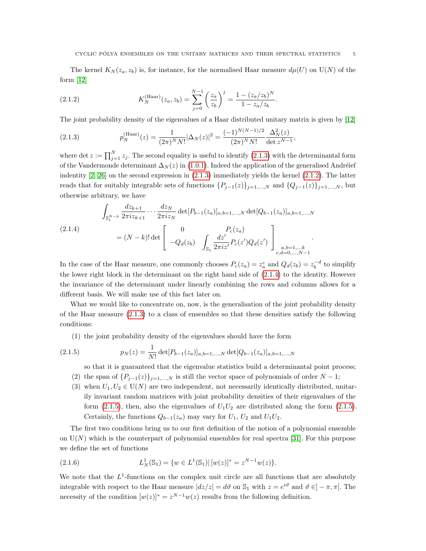The kernel  $K_N(z_a, z_b)$  is, for instance, for the normalised Haar measure  $d\mu(U)$  on  $U(N)$  of the form [\[12\]](#page-34-6)

<span id="page-4-1"></span>(2.1.2) 
$$
K_N^{\text{(Haar)}}(z_a, z_b) = \sum_{j=0}^{N-1} \left(\frac{z_a}{z_b}\right)^j = \frac{1 - (z_a/z_b)^N}{1 - z_a/z_b}.
$$

The joint probability density of the eigenvalues of a Haar distributed unitary matrix is given by [\[12\]](#page-34-6)

<span id="page-4-0"></span>(2.1.3) 
$$
p_N^{\text{(Haar)}}(z) = \frac{1}{(2\pi)^N N!} |\Delta_N(z)|^2 = \frac{(-1)^{N(N-1)/2}}{(2\pi)^N N!} \frac{\Delta_N^2(z)}{\det z^{N-1}},
$$

where det  $z := \prod_{j=1}^{N} z_j$ . The second equality is useful to identify [\(2.1.3\)](#page-4-0) with the determinantal form of the Vandermonde determinant  $\Delta_N(z)$  in [\(1.0.1\)](#page-1-0). Indeed the application of the generalised Andréief indentity  $[2, 26]$  $[2, 26]$  on the second expression in  $(2.1.3)$  immediately yields the kernel  $(2.1.2)$ . The latter reads that for suitably integrable sets of functions  $\{P_{j-1}(z)\}_{j=1,\ldots,N}$  and  $\{Q_{j-1}(z)\}_{j=1,\ldots,N}$ , but otherwise arbitrary, we have

<span id="page-4-2"></span>
$$
\int_{\mathbb{S}_1^{N-k}} \frac{dz_{k+1}}{2\pi i z_{k+1}} \cdots \frac{dz_N}{2\pi i z_N} \det[P_{b-1}(z_a)]_{a,b=1,\ldots,N} \det[Q_{b-1}(z_a)]_{a,b=1,\ldots,N}
$$
\n
$$
(2.1.4)
$$
\n
$$
= (N-k)! \det \begin{bmatrix} 0 & P_c(z_a) \\ -Q_d(z_b) & \int_{\mathbb{S}_1} \frac{dz'}{2\pi i z'} P_c(z') Q_d(z') \end{bmatrix}_{\substack{a,b=1,\ldots,k\\c,d=0,\ldots,N-1}}.
$$

In the case of the Haar measure, one commonly chooses  $P_c(z_a) = z_a^c$  and  $Q_d(z_b) = z_b^{-d}$  to simplify the lower right block in the determinant on the right hand side of [\(2.1.4\)](#page-4-2) to the identity. However the invariance of the determinant under linearly combining the rows and columns allows for a different basis. We will make use of this fact later on.

What we would like to concentrate on, now, is the generalisation of the joint probability density of the Haar measure [\(2.1.3\)](#page-4-0) to a class of ensembles so that these densities satisfy the following conditions:

(1) the joint probability density of the eigenvalues should have the form

(2.1.5) 
$$
p_N(z) = \frac{1}{N!} \det[P_{b-1}(z_a)]_{a,b=1,\dots,N} \det[Q_{b-1}(z_a)]_{a,b=1,\dots,N}
$$

<span id="page-4-3"></span>so that it is guaranteed that the eigenvalue statistics build a determinantal point process;

- (2) the span of  $\{P_{j-1}(z)\}_{j=1,\ldots,N}$  is still the vector space of polynomials of order  $N-1$ ;
- (3) when  $U_1, U_2 \in U(N)$  are two independent, not necessarily identically distributed, unitarily invariant random matrices with joint probability densities of their eigenvalues of the form [\(2.1.5\)](#page-4-3), then, also the eigenvalues of  $U_1U_2$  are distributed along the form (2.1.5). Certainly, the functions  $Q_{b-1}(z_a)$  may vary for  $U_1, U_2$  and  $U_1U_2$ .

The first two conditions bring us to our first definition of the notion of a polynomial ensemble on  $U(N)$  which is the counterpart of polynomial ensembles for real spectra [\[31\]](#page-35-13). For this purpose we define the set of functions

<span id="page-4-4"></span>(2.1.6) 
$$
L_N^1(\mathbb{S}_1) = \{ w \in L^1(\mathbb{S}_1) | [w(z)]^* = z^{N-1} w(z) \}.
$$

We note that the  $L^1$ -functions on the complex unit circle are all functions that are absolutely integrable with respect to the Haar measure  $|dz/z| = d\vartheta$  on  $\mathbb{S}_1$  with  $z = e^{i\vartheta}$  and  $\vartheta \in ]-\pi, \pi[$ . The necessity of the condition  $[w(z)]^* = z^{N-1}w(z)$  results from the following definition.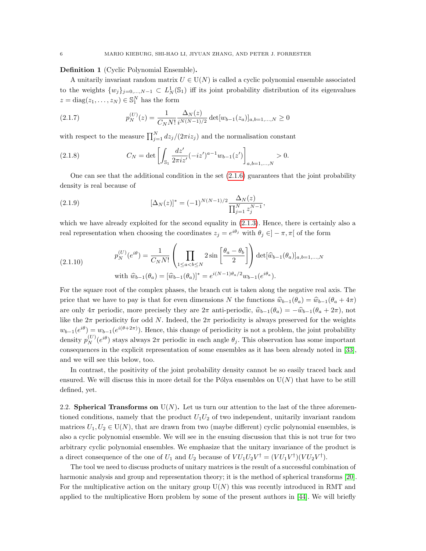## <span id="page-5-1"></span>Definition 1 (Cyclic Polynomial Ensemble).

A unitarily invariant random matrix  $U \in U(N)$  is called a cyclic polynomial ensemble associated to the weights  $\{w_j\}_{j=0,\dots,N-1} \subset L^1_N(\mathbb{S}_1)$  iff its joint probability distribution of its eigenvalues  $z = diag(z_1, \ldots, z_N) \in \mathbb{S}_1^N$  has the form

<span id="page-5-2"></span>(2.1.7) 
$$
p_N^{(U)}(z) = \frac{1}{C_N N!} \frac{\Delta_N(z)}{i^{N(N-1)/2}} \det[w_{b-1}(z_a)]_{a,b=1,...,N} \ge 0
$$

with respect to the measure  $\prod_{j=1}^{N} dz_j/(2\pi i z_j)$  and the normalisation constant

<span id="page-5-3"></span>(2.1.8) 
$$
C_N = \det \left[ \int_{\mathbb{S}_1} \frac{dz'}{2\pi i z'} (-iz')^{a-1} w_{b-1}(z') \right]_{a,b=1,\ldots,N} > 0.
$$

One can see that the additional condition in the set  $(2.1.6)$  guarantees that the joint probability density is real because of

<span id="page-5-4"></span>(2.1.9) 
$$
[\Delta_N(z)]^* = (-1)^{N(N-1)/2} \frac{\Delta_N(z)}{\prod_{j=1}^N z_j^{N-1}},
$$

which we have already exploited for the second equality in  $(2.1.3)$ . Hence, there is certainly also a real representation when choosing the coordinates  $z_j = e^{i\theta_j}$  with  $\theta_j \in ]-\pi, \pi[$  of the form

(2.1.10) 
$$
p_N^{(U)}(e^{i\theta}) = \frac{1}{C_N N!} \left( \prod_{1 \le a < b \le N} 2 \sin \left[ \frac{\theta_a - \theta_b}{2} \right] \right) \det[\widehat{w}_{b-1}(\theta_a)]_{a,b=1,...,N}
$$
  
with  $\widehat{w}_{b-1}(\theta_a) = [\widehat{w}_{b-1}(\theta_a)]^* = e^{i(N-1)\theta_a/2} w_{b-1}(e^{i\theta_a}).$ 

For the square root of the complex phases, the branch cut is taken along the negative real axis. The price that we have to pay is that for even dimensions N the functions  $\hat{w}_{b-1}(\theta_a) = \hat{w}_{b-1}(\theta_a + 4\pi)$ are only  $4\pi$  periodic, more precisely they are  $2\pi$  anti-periodic,  $\hat{w}_{b-1}(\theta_a) = -\hat{w}_{b-1}(\theta_a + 2\pi)$ , not like the  $2\pi$  periodicity for odd N. Indeed, the  $2\pi$  periodicity is always preserved for the weights  $w_{b-1}(e^{i\theta}) = w_{b-1}(e^{i(\theta+2\pi)})$ . Hence, this change of periodicity is not a problem, the joint probability density  $p_N^{(U)}(e^{i\theta})$  stays always  $2\pi$  periodic in each angle  $\theta_j$ . This observation has some important consequences in the explicit representation of some ensembles as it has been already noted in [\[33\]](#page-35-15), and we will see this below, too.

In contrast, the positivity of the joint probability density cannot be so easily traced back and ensured. We will discuss this in more detail for the Pólya ensembles on  $U(N)$  that have to be still defined, yet.

<span id="page-5-0"></span>2.2. Spherical Transforms on  $U(N)$ . Let us turn our attention to the last of the three aforementioned conditions, namely that the product  $U_1U_2$  of two independent, unitarily invariant random matrices  $U_1, U_2 \in U(N)$ , that are drawn from two (maybe different) cyclic polynomial ensembles, is also a cyclic polynomial ensemble. We will see in the ensuing discussion that this is not true for two arbitrary cyclic polynomial ensembles. We emphasize that the unitary invariance of the product is a direct consequence of the one of  $U_1$  and  $U_2$  because of  $VU_1U_2V^{\dagger} = (VU_1V^{\dagger})(VU_2V^{\dagger})$ .

The tool we need to discuss products of unitary matrices is the result of a successful combination of harmonic analysis and group and representation theory; it is the method of spherical transforms [\[20\]](#page-35-10). For the multiplicative action on the unitary group  $U(N)$  this was recently introduced in RMT and applied to the multiplicative Horn problem by some of the present authors in [\[44\]](#page-36-1). We will briefly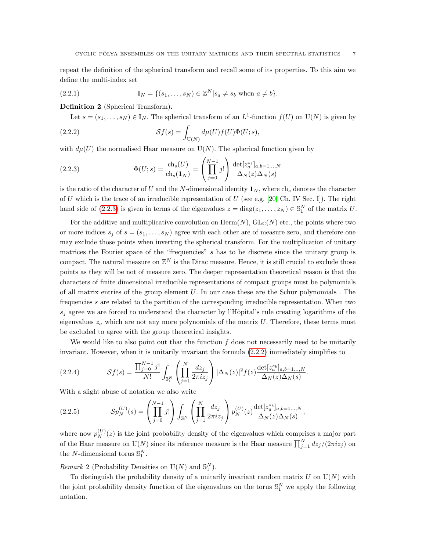repeat the definition of the spherical transform and recall some of its properties. To this aim we define the multi-index set

(2.2.1) 
$$
\mathbb{I}_N = \{(s_1, ..., s_N) \in \mathbb{Z}^N | s_a \neq s_b \text{ when } a \neq b\}.
$$

Definition 2 (Spherical Transform).

<span id="page-6-1"></span><span id="page-6-0"></span>Let  $s = (s_1, \ldots, s_N) \in \mathbb{I}_N$ . The spherical transform of an  $L^1$ -function  $f(U)$  on  $U(N)$  is given by

(2.2.2) 
$$
\mathcal{S}f(s) = \int_{U(N)} d\mu(U) f(U) \Phi(U; s),
$$

with  $d\mu(U)$  the normalised Haar measure on  $U(N)$ . The spherical function given by

<span id="page-6-2"></span>(2.2.3) 
$$
\Phi(U; s) = \frac{\text{ch}_s(U)}{\text{ch}_s(1_N)} = \left(\prod_{j=0}^{N-1} j!\right) \frac{\det[z_a^{s_b}]_{a, b=1...N}}{\Delta_N(z)\Delta_N(s)}
$$

is the ratio of the character of U and the N-dimensional identity  $\mathbf{1}_N$ , where ch<sub>s</sub> denotes the character of U which is the trace of an irreducible representation of U (see e.g. [\[20,](#page-35-10) Ch. IV Sec. I]). The right hand side of  $(2.2.3)$  is given in terms of the eigenvalues  $z = diag(z_1, \ldots, z_N) \in \mathbb{S}_1^N$  of the matrix U.

For the additive and multiplicative convolution on  $\text{Herm}(N)$ ,  $\text{GL}_{\mathbb{C}}(N)$  etc., the points where two or more indices  $s_j$  of  $s = (s_1, \ldots, s_N)$  agree with each other are of measure zero, and therefore one may exclude those points when inverting the spherical transform. For the multiplication of unitary matrices the Fourier space of the "frequencies"  $s$  has to be discrete since the unitary group is compact. The natural measure on  $\mathbb{Z}^N$  is the Dirac measure. Hence, it is still crucial to exclude those points as they will be not of measure zero. The deeper representation theoretical reason is that the characters of finite dimensional irreducible representations of compact groups must be polynomials of all matrix entries of the group element  $U$ . In our case these are the Schur polynomials. The frequencies s are related to the partition of the corresponding irreducible representation. When two  $s_i$  agree we are forced to understand the character by l'Hôpital's rule creating logarithms of the eigenvalues  $z_a$  which are not any more polynomials of the matrix U. Therefore, these terms must be excluded to agree with the group theoretical insights.

We would like to also point out that the function  $f$  does not necessarily need to be unitarily invariant. However, when it is unitarily invariant the formula [\(2.2.2\)](#page-6-1) immediately simplifies to

(2.2.4) 
$$
\mathcal{S}f(s) = \frac{\prod_{j=0}^{N-1} j!}{N!} \int_{\mathbb{S}_1^N} \left( \prod_{j=1}^N \frac{dz_j}{2\pi i z_j} \right) |\Delta_N(z)|^2 f(z) \frac{\det[z_a^{s_b}]_{a,b=1...,N}}{\Delta_N(z)\Delta_N(s)}.
$$

With a slight abuse of notation we also write

<span id="page-6-3"></span>(2.2.5) 
$$
\mathcal{S}p_N^{(U)}(s) = \left(\prod_{j=0}^{N-1} j!\right) \int_{\mathbb{S}_1^N} \left(\prod_{j=1}^N \frac{dz_j}{2\pi iz_j}\right) p_N^{(U)}(z) \frac{\det[z_a^{s_b}]_{a,b=1...N}}{\Delta_N(z)\Delta_N(s)},
$$

where now  $p_N^{(U)}(z)$  is the joint probability density of the eigenvalues which comprises a major part of the Haar measure on  $U(N)$  since its reference measure is the Haar measure  $\prod_{j=1}^{N} dz_j/(2\pi i z_j)$  on the *N*-dimensional torus  $\mathbb{S}_1^N$ .

Remark 2 (Probability Densities on  $U(N)$  and  $\mathbb{S}_1^N$ ).

To distinguish the probability density of a unitarily invariant random matrix  $U$  on  $U(N)$  with the joint probability density function of the eigenvalues on the torus  $\mathbb{S}_1^N$  we apply the following notation.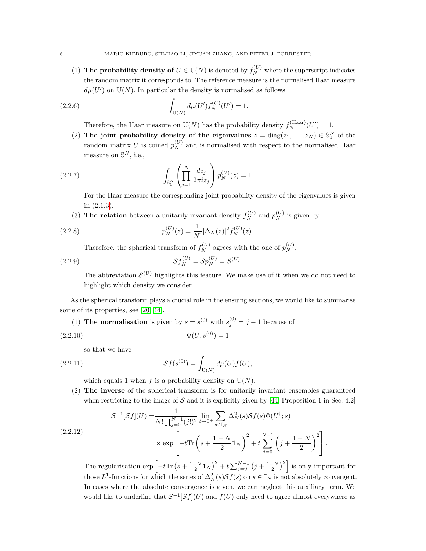(1) The probability density of  $U \in U(N)$  is denoted by  $f_N^{(U)}$  where the superscript indicates the random matrix it corresponds to. The reference measure is the normalised Haar measure  $d\mu(U')$  on U(N). In particular the density is normalised as follows

(2.2.6) 
$$
\int_{U(N)} d\mu(U') f_N^{(U)}(U') = 1.
$$

Therefore, the Haar measure on  $U(N)$  has the probability density  $f_N^{\text{(Haar)}}(U') = 1$ .

(2) The joint probability density of the eigenvalues  $z = diag(z_1, \ldots, z_N) \in \mathbb{S}_1^N$  of the random matrix U is coined  $p_N^{(U)}$  and is normalised with respect to the normalised Haar measure on  $\mathbb{S}_1^N$ , i.e.,

(2.2.7) 
$$
\int_{\mathbb{S}_1^N} \left( \prod_{j=1}^N \frac{dz_j}{2\pi i z_j} \right) p_N^{(U)}(z) = 1.
$$

For the Haar measure the corresponding joint probability density of the eigenvalues is given in [\(2.1.3\)](#page-4-0).

(3) The relation between a unitarily invariant density  $f_N^{(U)}$  and  $p_N^{(U)}$  is given by

(2.2.8) 
$$
p_N^{(U)}(z) = \frac{1}{N!} |\Delta_N(z)|^2 f_N^{(U)}(z).
$$

<span id="page-7-0"></span>Therefore, the spherical transform of  $f_N^{(U)}$  agrees with the one of  $p_N^{(U)}$ ,

(2.2.9) 
$$
\mathcal{S}f_N^{(U)} = \mathcal{S}p_N^{(U)} = \mathcal{S}^{(U)}.
$$

The abbreviation  $\mathcal{S}^{(U)}$  highlights this feature. We make use of it when we do not need to highlight which density we consider.

As the spherical transform plays a crucial role in the ensuing sections, we would like to summarise some of its properties, see [\[20,](#page-35-10) [44\]](#page-36-1).

(1) **The normalisation** is given by 
$$
s = s^{(0)}
$$
 with  $s_j^{(0)} = j - 1$  because of

(2.2.10) Φ(U; s (0)) = 1

so that we have

(2.2.11) 
$$
\mathcal{S}f(s^{(0)}) = \int_{U(N)} d\mu(U) f(U),
$$

which equals 1 when f is a probability density on  $U(N)$ .

(2) The inverse of the spherical transform is for unitarily invariant ensembles guaranteed when restricting to the image of  $S$  and it is explicitly given by [\[44,](#page-36-1) Proposition 1 in Sec. 4.2]

<span id="page-7-1"></span>
$$
S^{-1}[\mathcal{S}f](U) = \frac{1}{N! \prod_{j=0}^{N-1} (j!)^2} \lim_{t \to 0^+} \sum_{s \in \mathbb{I}_N} \Delta_N^2(s) \mathcal{S}f(s) \Phi(U^\dagger; s)
$$
  

$$
\times \exp\left[-t \text{Tr}\left(s + \frac{1-N}{2} \mathbf{1}_N\right)^2 + t \sum_{j=0}^{N-1} \left(j + \frac{1-N}{2}\right)^2\right].
$$

The regularisation  $\exp \left[-t \text{Tr} \left(s + \frac{1-N}{2} \mathbf{1}_N\right)^2 + t \sum_{j=0}^{N-1} \left(j + \frac{1-N}{2}\right)^2\right]$  is only important for those  $L^1$ -functions for which the series of  $\Delta_N^2(s) \mathcal{S} f(s)$  on  $s \in \mathbb{I}_N$  is not absolutely convergent. In cases where the absolute convergence is given, we can neglect this auxiliary term. We would like to underline that  $S^{-1}[\mathcal{S}f](U)$  and  $f(U)$  only need to agree almost everywhere as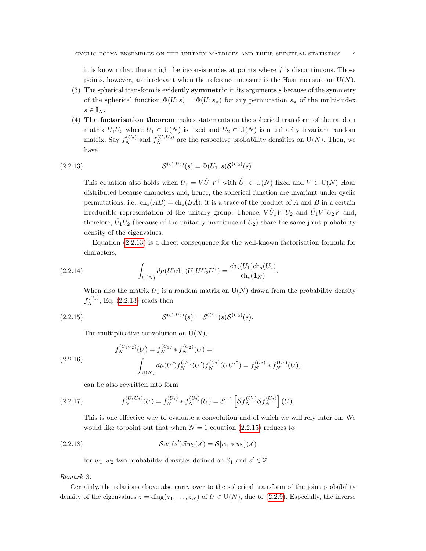it is known that there might be inconsistencies at points where  $f$  is discontinuous. Those points, however, are irrelevant when the reference measure is the Haar measure on  $U(N)$ .

- (3) The spherical transform is evidently **symmetric** in its arguments s because of the symmetry of the spherical function  $\Phi(U; s) = \Phi(U; s_{\pi})$  for any permutation  $s_{\pi}$  of the multi-index  $s \in \mathbb{I}_N$ .
- (4) The factorisation theorem makes statements on the spherical transform of the random matrix  $U_1U_2$  where  $U_1 \in U(N)$  is fixed and  $U_2 \in U(N)$  is a unitarily invariant random matrix. Say  $f_N^{(U_2)}$  and  $f_N^{(U_1 U_2)}$  are the respective probability densities on U(N). Then, we have

(2.2.13) 
$$
\mathcal{S}^{(U_1 U_2)}(s) = \Phi(U_1; s) \mathcal{S}^{(U_2)}(s).
$$

<span id="page-8-0"></span>This equation also holds when  $U_1 = V\tilde{U}_1V^{\dagger}$  with  $\tilde{U}_1 \in U(N)$  fixed and  $V \in U(N)$  Haar distributed because characters and, hence, the spherical function are invariant under cyclic permutations, i.e.,  $ch_s(AB) = ch_s(BA)$ ; it is a trace of the product of A and B in a certain irreducible representation of the unitary group. Thence,  $VU_1V^{\dagger}U_2$  and  $U_1V^{\dagger}U_2V$  and, therefore,  $\tilde{U}_1 U_2$  (because of the unitarily invariance of  $U_2$ ) share the same joint probability density of the eigenvalues.

Equation [\(2.2.13\)](#page-8-0) is a direct consequence for the well-known factorisation formula for characters,

(2.2.14) 
$$
\int_{U(N)} d\mu(U) ch_s(U_1 U U_2 U^{\dagger}) = \frac{ch_s(U_1) ch_s(U_2)}{ch_s(\mathbf{1}_N)}.
$$

When also the matrix  $U_1$  is a random matrix on  $U(N)$  drawn from the probability density  $f_N^{(U_1)}$ , Eq. [\(2.2.13\)](#page-8-0) reads then

(2.2.15) 
$$
\mathcal{S}^{(U_1U_2)}(s) = \mathcal{S}^{(U_1)}(s)\mathcal{S}^{(U_2)}(s).
$$

<span id="page-8-1"></span>The multiplicative convolution on  $U(N)$ ,

(2.2.16) 
$$
f_N^{(U_1 U_2)}(U) = f_N^{(U_1)} * f_N^{(U_2)}(U) =
$$

$$
\int_{U(N)} d\mu(U') f_N^{(U_1)}(U') f_N^{(U_2)}(UU'^{\dagger}) = f_N^{(U_2)} * f_N^{(U_1)}(U),
$$

can be also rewritten into form

(2.2.17) 
$$
f_N^{(U_1U_2)}(U) = f_N^{(U_1)} * f_N^{(U_2)}(U) = S^{-1} \left[ \mathcal{S} f_N^{(U_1)} \mathcal{S} f_N^{(U_2)} \right](U).
$$

This is one effective way to evaluate a convolution and of which we will rely later on. We would like to point out that when  $N = 1$  equation [\(2.2.15\)](#page-8-1) reduces to

(2.2.18) 
$$
\mathcal{S}w_1(s')\mathcal{S}w_2(s') = \mathcal{S}[w_1 * w_2](s')
$$

<span id="page-8-2"></span>for  $w_1, w_2$  two probability densities defined on  $\mathbb{S}_1$  and  $s' \in \mathbb{Z}$ .

### Remark 3.

Certainly, the relations above also carry over to the spherical transform of the joint probability density of the eigenvalues  $z = diag(z_1, \ldots, z_N)$  of  $U \in U(N)$ , due to [\(2.2.9\)](#page-7-0). Especially, the inverse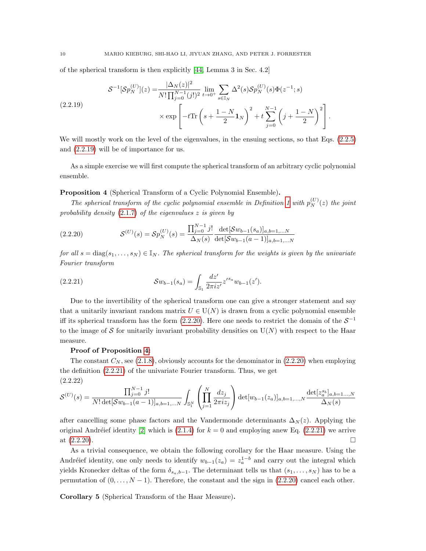of the spherical transform is then explicitly [\[44,](#page-36-1) Lemma 3 in Sec. 4.2]

<span id="page-9-0"></span>
$$
\mathcal{S}^{-1}[\mathcal{S}p_N^{(U)}](z) = \frac{|\Delta_N(z)|^2}{N!\prod_{j=0}^{N-1}(j!)^2} \lim_{t \to 0^+} \sum_{s \in \mathbb{I}_N} \Delta^2(s) \mathcal{S}p_N^{(U)}(s) \Phi(z^{-1}; s)
$$
\n
$$
\times \exp\left[-t \text{Tr}\left(s + \frac{1-N}{2}\mathbf{1}_N\right)^2 + t \sum_{j=0}^{N-1} \left(j + \frac{1-N}{2}\right)^2\right].
$$

We will mostly work on the level of the eigenvalues, in the ensuing sections, so that Eqs. [\(2.2.5\)](#page-6-3) and [\(2.2.19\)](#page-9-0) will be of importance for us.

As a simple exercise we will first compute the spherical transform of an arbitrary cyclic polynomial ensemble.

# <span id="page-9-2"></span>Proposition 4 (Spherical Transform of a Cyclic Polynomial Ensemble).

The spherical transform of the cyclic polynomial ensemble in Definition [1](#page-5-1) with  $p_N^{(U)}(z)$  the joint probability density  $(2.1.7)$  of the eigenvalues  $z$  is given by

<span id="page-9-1"></span>(2.2.20) 
$$
\mathcal{S}^{(U)}(s) = \mathcal{S}p_N^{(U)}(s) = \frac{\prod_{j=0}^{N-1} j!}{\Delta_N(s)} \frac{\det[\mathcal{S}w_{b-1}(s_a)]_{a,b=1,...N}}{\det[\mathcal{S}w_{b-1}(a-1)]_{a,b=1,...N}}
$$

for all  $s = diag(s_1, ..., s_N) \in \mathbb{I}_N$ . The spherical transform for the weights is given by the univariate Fourier transform

<span id="page-9-3"></span>(2.2.21) 
$$
\mathcal{S}w_{b-1}(s_a) = \int_{\mathbb{S}_1} \frac{dz'}{2\pi i z'} z'^{s_a} w_{b-1}(z').
$$

Due to the invertibility of the spherical transform one can give a stronger statement and say that a unitarily invariant random matrix  $U \in U(N)$  is drawn from a cyclic polynomial ensemble iff its spherical transform has the form  $(2.2.20)$ . Here one needs to restrict the domain of the  $S^{-1}$ to the image of S for unitarily invariant probability densities on  $U(N)$  with respect to the Haar measure.

### Proof of Proposition [4:](#page-9-2)

The constant  $C_N$ , see [\(2.1.8\)](#page-5-3), obviously accounts for the denominator in [\(2.2.20\)](#page-9-1) when employing the definition [\(2.2.21\)](#page-9-3) of the univariate Fourier transform. Thus, we get (2.2.22)

$$
\mathcal{S}^{(U)}(s) = \frac{\prod_{j=0}^{N-1} j!}{N! \det[\mathcal{S}w_{b-1}(a-1)]_{a,b=1,...N}} \int_{\mathbb{S}_1^N} \left( \prod_{j=1}^N \frac{dz_j}{2\pi i z_j} \right) \det[w_{b-1}(z_a)]_{a,b=1,...N} \frac{\det[z_a^{s_b}]_{a,b=1...,N}}{\Delta_N(s)}
$$

after cancelling some phase factors and the Vandermonde determinants  $\Delta_N(z)$ . Applying the original Andréief identity [\[2\]](#page-34-7) which is [\(2.1.4\)](#page-4-2) for  $k = 0$  and employing anew Eq. [\(2.2.21\)](#page-9-3) we arrive at  $(2.2.20)$ .

As a trivial consequence, we obtain the following corollary for the Haar measure. Using the Andréief identity, one only needs to identify  $w_{b-1}(z_a) = z_a^{1-b}$  and carry out the integral which yields Kronecker deltas of the form  $\delta_{s_a,b-1}$ . The determinant tells us that  $(s_1, \ldots, s_N)$  has to be a permutation of  $(0, \ldots, N-1)$ . Therefore, the constant and the sign in  $(2.2.20)$  cancel each other.

<span id="page-9-4"></span>Corollary 5 (Spherical Transform of the Haar Measure).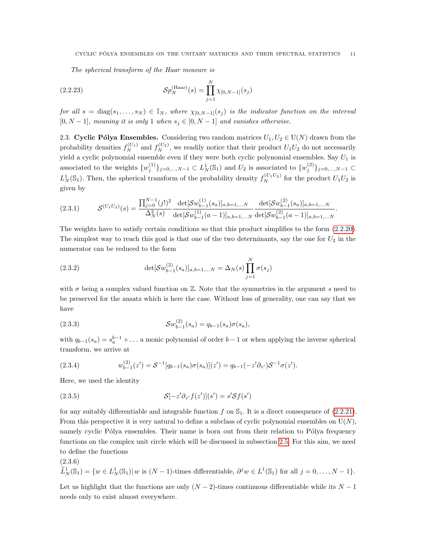<span id="page-10-3"></span>The spherical transform of the Haar measure is

(2.2.23) 
$$
\mathcal{S}p_N^{(\text{Haar})}(s) = \prod_{j=1}^N \chi_{[0,N-1]}(s_j)
$$

for all  $s = \text{diag}(s_1, \ldots, s_N) \in \mathbb{I}_N$ , where  $\chi_{[0,N-1]}(s_j)$  is the indicator function on the interval  $[0, N-1]$ , meaning it is only 1 when  $s_j \in [0, N-1]$  and vanishes otherwise.

<span id="page-10-1"></span>2.3. Cyclic Pólya Ensembles. Considering two random matrices  $U_1, U_2 \in U(N)$  drawn from the probability densities  $f_N^{(U_1)}$  and  $f_N^{(U_2)}$ , we readily notice that their product  $U_1U_2$  do not necessarily yield a cyclic polynomial ensemble even if they were both cyclic polynomial ensembles. Say  $U_1$  is associated to the weights  $\{w_j^{(1)}\}_{j=0,\dots,N-1} \subset L^1_N(\mathbb{S}_1)$  and  $U_2$  is associated to  $\{w_j^{(2)}\}_{j=0,\dots,N-1} \subset L^1_N(\mathbb{S}_1)$  $L^1_N(\mathbb{S}_1)$ . Then, the spherical transform of the probability density  $f_N^{(U_1U_2)}$  for the product  $U_1U_2$  is given by

$$
(2.3.1) \tS^{(U_1U_2)}(s) = \frac{\prod_{j=0}^{N-1} (j!)^2}{\Delta_N^2(s)} \frac{\det[\mathcal{S}w_{b-1}^{(1)}(s_a)]_{a,b=1,...N}}{\det[\mathcal{S}w_{b-1}^{(1)}(a-1)]_{a,b=1,...N}} \frac{\det[\mathcal{S}w_{b-1}^{(2)}(s_a)]_{a,b=1,...N}}{\det[\mathcal{S}w_{b-1}^{(2)}(a-1)]_{a,b=1,...N}}.
$$

The weights have to satisfy certain conditions so that this product simplifies to the form [\(2.2.20\)](#page-9-1). The simplest way to reach this goal is that one of the two determinants, say the one for  $U_2$  in the numerator can be reduced to the form

(2.3.2) 
$$
\det[\mathcal{S}w_{b-1}^{(2)}(s_a)]_{a,b=1,...N} = \Delta_N(s)\prod_{j=1}^N \sigma(s_j)
$$

with  $\sigma$  being a complex valued function on  $\mathbb{Z}$ . Note that the symmetries in the argument s need to be preserved for the ansatz which is here the case. Without loss of generality, one can say that we have

(2.3.3) 
$$
\mathcal{S}w_{b-1}^{(2)}(s_a) = q_{b-1}(s_a)\sigma(s_a),
$$

with  $q_{b-1}(s_a) = s_a^{b-1} + \dots$  a monic polynomial of order  $b-1$  or when applying the inverse spherical transform, we arrive at

(2.3.4) 
$$
w_{b-1}^{(2)}(z') = S^{-1}[q_{b-1}(s_a)\sigma(s_a)](z') = q_{b-1}(-z'\partial_{z'})S^{-1}\sigma(z').
$$

Here, we used the identity

<span id="page-10-2"></span>(2.3.5) 
$$
\mathcal{S}[-z'\partial_{z'}f(z')](s') = s'\mathcal{S}f(s')
$$

for any suitably differentiable and integrable function f on  $\mathbb{S}_1$ . It is a direct consequence of [\(2.2.21\)](#page-9-3). From this perspective it is very natural to define a subclass of cyclic polynomial ensembles on  $U(N)$ , namely cyclic Pólya ensembles. Their name is born out from their relation to Pólya frequency functions on the complex unit circle which will be discussed in subsection [2.5.](#page-22-1) For this aim, we need to define the functions

(2.3.6)

<span id="page-10-0"></span>
$$
\widetilde{L}_N^1(\mathbb{S}_1) = \{ w \in L_N^1(\mathbb{S}_1) | w \text{ is } (N-1) \text{-times differentiable, } \partial^j w \in L^1(\mathbb{S}_1) \text{ for all } j = 0, \dots, N-1 \}.
$$

Let us highlight that the functions are only  $(N-2)$ -times continuous differentiable while its  $N-1$ needs only to exist almost everywhere.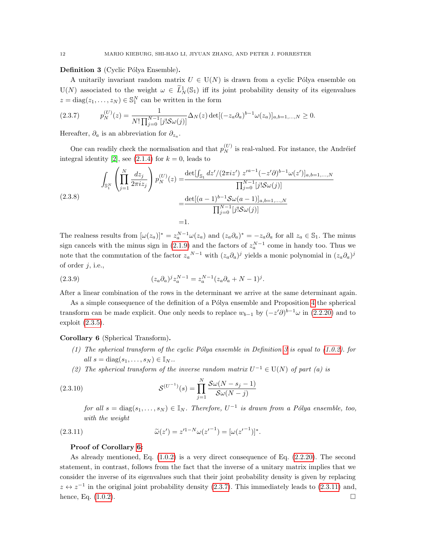<span id="page-11-0"></span>Definition 3 (Cyclic Pólya Ensemble).

A unitarily invariant random matrix  $U \in U(N)$  is drawn from a cyclic Pólya ensemble on  $U(N)$  associated to the weight  $\omega \in \tilde{L}^1_N(\mathbb{S}_1)$  iff its joint probability density of its eigenvalues  $z = diag(z_1, \ldots, z_N) \in \mathbb{S}_1^N$  can be written in the form

<span id="page-11-2"></span>
$$
(2.3.7) \t p_N^{(U)}(z) = \frac{1}{N! \prod_{j=0}^{N-1} [j! S \omega(j)]} \Delta_N(z) \det[(-z_a \partial_a)^{b-1} \omega(z_a)]_{a,b=1,\dots,N} \ge 0.
$$

Hereafter,  $\partial_a$  is an abbreviation for  $\partial_{z_a}$ .

One can readily check the normalisation and that  $p_N^{(U)}$  is real-valued. For instance, the Andréief integral identity [\[2\]](#page-34-7), see [\(2.1.4\)](#page-4-2) for  $k = 0$ , leads to

$$
\int_{\mathbb{S}_1^N} \left( \prod_{j=1}^N \frac{dz_j}{2\pi i z_j} \right) p_N^{(U)}(z) = \frac{\det[\int_{\mathbb{S}_1} dz'/(2\pi i z') z'^{a-1}(-z'\partial)^{b-1}\omega(z')]_{a,b=1,\dots,N}}{\prod_{j=0}^{N-1} [j!S\omega(j)]}
$$
\n
$$
= \frac{\det[(a-1)^{b-1}S\omega(a-1)]_{a,b=1,\dots,N}}{\prod_{j=0}^{N-1} [j!S\omega(j)]}
$$
\n=1.

The realness results from  $[\omega(z_a)]^* = z_a^{N-1} \omega(z_a)$  and  $(z_a \partial_a)^* = -z_a \partial_a$  for all  $z_a \in \mathbb{S}_1$ . The minus sign cancels with the minus sign in [\(2.1.9\)](#page-5-4) and the factors of  $z_a^{N-1}$  come in handy too. Thus we note that the commutation of the factor  $z_a^{N-1}$  with  $(z_a \partial_a)^j$  yields a monic polynomial in  $(z_a \partial_a)^j$ of order  $j$ , i.e.,

(2.3.9) 
$$
(z_a \partial_a)^j z_a^{N-1} = z_a^{N-1} (z_a \partial_a + N - 1)^j.
$$

After a linear combination of the rows in the determinant we arrive at the same determinant again.

As a simple consequence of the definition of a Pólya ensemble and Proposition [4](#page-9-2) the spherical transform can be made explicit. One only needs to replace  $w_{b-1}$  by  $(-z'\partial)^{b-1}\omega$  in [\(2.2.20\)](#page-9-1) and to exploit [\(2.3.5\)](#page-10-2).

<span id="page-11-1"></span>Corollary 6 (Spherical Transform).

- (1) The spherical transform of the cyclic Pólya ensemble in Definition [3](#page-11-0) is equal to [\(1.0.2\)](#page-1-1). for all  $s = \text{diag}(s_1, \ldots, s_N) \in \mathbb{I}_N$ .
- (2) The spherical transform of the inverse random matrix  $U^{-1} \in U(N)$  of part (a) is

(2.3.10) 
$$
\mathcal{S}^{(U^{-1})}(s) = \prod_{j=1}^{N} \frac{\mathcal{S}\omega(N - s_j - 1)}{\mathcal{S}\omega(N - j)}
$$

<span id="page-11-3"></span>for all  $s = diag(s_1, ..., s_N) \in \mathbb{I}_N$ . Therefore,  $U^{-1}$  is drawn from a Pólya ensemble, too, with the weight

(2.3.11) 
$$
\widetilde{\omega}(z') = z'^{1-N}\omega(z'^{-1}) = [\omega(z'^{-1})]^*.
$$

### Proof of Corollary [6:](#page-11-1)

As already mentioned, Eq. [\(1.0.2\)](#page-1-1) is a very direct consequence of Eq. [\(2.2.20\)](#page-9-1). The second statement, in contrast, follows from the fact that the inverse of a unitary matrix implies that we consider the inverse of its eigenvalues such that their joint probability density is given by replacing  $z \leftrightarrow z^{-1}$  in the original joint probability density [\(2.3.7\)](#page-11-2). This immediately leads to [\(2.3.11\)](#page-11-3) and, hence, Eq.  $(1.0.2)$ .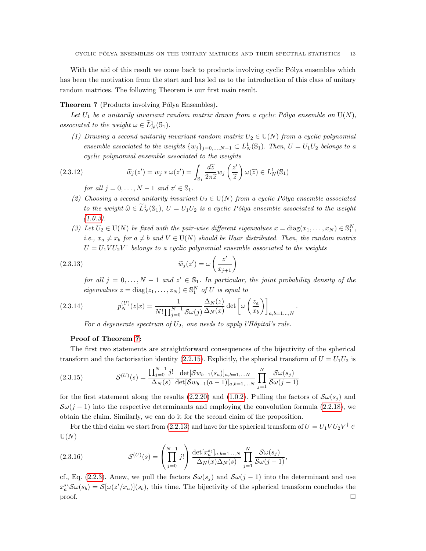With the aid of this result we come back to products involving cyclic Pólya ensembles which has been the motivation from the start and has led us to the introduction of this class of unitary random matrices. The following Theorem is our first main result.

## <span id="page-12-0"></span>**Theorem 7** (Products involving Pólya Ensembles).

Let  $U_1$  be a unitarily invariant random matrix drawn from a cyclic Pólya ensemble on  $U(N)$ , associated to the weight  $\omega \in \widetilde{L}_N^1(\mathbb{S}_1)$ .

(1) Drawing a second unitarily invariant random matrix  $U_2 \in U(N)$  from a cyclic polynomial ensemble associated to the weights  $\{w_j\}_{j=0,\dots,N-1} \subset L^1_N(\mathbb{S}_1)$ . Then,  $U = U_1U_2$  belongs to a cyclic polynomial ensemble associated to the weights

(2.3.12) 
$$
\widetilde{w}_j(z') = w_j * \omega(z') = \int_{\mathbb{S}_1} \frac{d\widetilde{z}}{2\pi \widetilde{z}} w_j \left(\frac{z'}{\widetilde{z}}\right) \omega(\widetilde{z}) \in L^1_N(\mathbb{S}_1)
$$

for all  $j = 0, ..., N - 1$  and  $z' \in \mathbb{S}_1$ .

- (2) Choosing a second unitarily invariant  $U_2 \in U(N)$  from a cyclic Pólya ensemble associated to the weight  $\widehat{\omega} \in \widetilde{L}_N^1(\mathbb{S}_1)$ ,  $U = U_1U_2$  is a cyclic Pólya ensemble associated to the weight  $(1.0.3).$  $(1.0.3).$
- (3) Let  $U_2 \in U(N)$  be fixed with the pair-wise different eigenvalues  $x = diag(x_1, \ldots, x_N) \in \mathbb{S}_1^N$ , i.e.,  $x_a \neq x_b$  for  $a \neq b$  and  $V \in U(N)$  should be Haar distributed. Then, the random matrix  $U = U_1 V U_2 V^{\dagger}$  belongs to a cyclic polynomial ensemble associated to the weights

(2.3.13) 
$$
\widetilde{w}_j(z') = \omega \left(\frac{z'}{x_{j+1}}\right)
$$

<span id="page-12-1"></span>for all  $j = 0, ..., N - 1$  and  $z' \in \mathbb{S}_1$ . In particular, the joint probability density of the eigenvalues  $z = diag(z_1, ..., z_N) \in \mathbb{S}_1^N$  of U is equal to

.

(2.3.14) 
$$
p_N^{(U)}(z|x) = \frac{1}{N!\prod_{j=0}^{N-1} \mathcal{S}\omega(j)} \frac{\Delta_N(z)}{\Delta_N(x)} \det \left[\omega \left(\frac{z_a}{x_b}\right)\right]_{a,b=1...,N}
$$

For a degenerate spectrum of  $U_2$ , one needs to apply l'Hôpital's rule.

## Proof of Theorem [7:](#page-12-0)

The first two statements are straightforward consequences of the bijectivity of the spherical transform and the factorisation identity [\(2.2.15\)](#page-8-1). Explicitly, the spherical transform of  $U = U_1U_2$  is

(2.3.15) 
$$
\mathcal{S}^{(U)}(s) = \frac{\prod_{j=0}^{N-1} j!}{\Delta_N(s)} \frac{\det[\mathcal{S}w_{b-1}(s_a)]_{a,b=1,...N}}{\det[\mathcal{S}w_{b-1}(a-1)]_{a,b=1,...N}} \prod_{j=1}^{N} \frac{\mathcal{S}\omega(s_j)}{\mathcal{S}\omega(j-1)}
$$

for the first statement along the results [\(2.2.20\)](#page-9-1) and [\(1.0.2\)](#page-1-1). Pulling the factors of  $\mathcal{S}\omega(s_i)$  and  $\mathcal{S}\omega(i-1)$  into the respective determinants and employing the convolution formula [\(2.2.18\)](#page-8-2), we obtain the claim. Similarly, we can do it for the second claim of the proposition.

For the third claim we start from [\(2.2.13\)](#page-8-0) and have for the spherical transform of  $U = U_1 V U_2 V^{\dagger} \in$  $U(N)$ 

(2.3.16) 
$$
\mathcal{S}^{(U)}(s) = \left(\prod_{j=0}^{N-1} j!\right) \frac{\det[x_a^{s_b}]_{a,b=1...,N}}{\Delta_N(x)\Delta_N(s)} \prod_{j=1}^{N} \frac{\mathcal{S}\omega(s_j)}{\mathcal{S}\omega(j-1)},
$$

cf., Eq. [\(2.2.3\)](#page-6-2). Anew, we pull the factors  $\mathcal{S}\omega(s_i)$  and  $\mathcal{S}\omega(j-1)$  into the determinant and use  $x_a^{s_b} \mathcal{S}\omega(s_b) = \mathcal{S}[\omega(z'/x_a)](s_b)$ , this time. The bijectivity of the spherical transform concludes the  $\Box$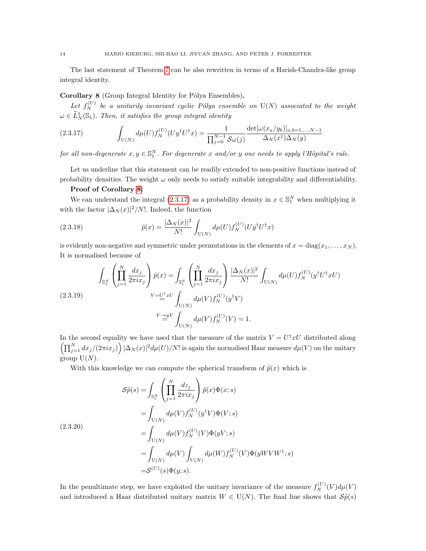The last statement of Theorem [7](#page-12-0) can be also rewritten in terms of a Harish-Chandra-like group integral identity.

## <span id="page-13-0"></span>Corollary 8 (Group Integral Identity for Pólya Ensembles).

Let  $f_N^{(U)}$  be a unitarily invariant cyclic Pólya ensemble on  $U(N)$  associated to the weight  $\omega \in \widetilde{L}^1_N(\mathbb{S}_1)$ . Then, it satisfies the group integral identity

<span id="page-13-1"></span>(2.3.17) 
$$
\int_{U(N)} d\mu(U) f_N^{(U)} (U y^{\dagger} U^{\dagger} x) = \frac{1}{\prod_{j=0}^{N-1} \mathcal{S} \omega(j)} \frac{\det[\omega(x_a/y_b)]_{a,b=1,...,N-1}}{\Delta_N(x^{\dagger}) \Delta_N(y)}
$$

for all non-degenerate  $x, y \in \mathbb{S}_1^N$ . For degenerate x and/or y one needs to apply l'Hôpital's rule.

Let us underline that this statement can be readily extended to non-positive functions instead of probability densities. The weight  $\omega$  only needs to satisfy suitable integrability and differentiability.

## Proof of Corollary [8:](#page-13-0)

We can understand the integral  $(2.3.17)$  as a probability density in  $x \in \mathbb{S}_1^N$  when multiplying it with the factor  $|\Delta_N(x)|^2/N!$ . Indeed, the function

(2.3.18) 
$$
\tilde{p}(x) = \frac{|\Delta_N(x)|^2}{N!} \int_{U(N)} d\mu(U) f_N^{(U)}(U y^{\dagger} U^{\dagger} x)
$$

is evidently non-negative and symmetric under permutations in the elements of  $x = diag(x_1, \ldots, x_N)$ . It is normalised because of

(2.3.19) 
$$
\int_{\mathbb{S}_{1}^{N}} \left( \prod_{j=1}^{N} \frac{dx_{j}}{2\pi i x_{j}} \right) \tilde{p}(x) = \int_{\mathbb{S}_{1}^{N}} \left( \prod_{j=1}^{N} \frac{dx_{j}}{2\pi i x_{j}} \right) \frac{|\Delta_{N}(x)|^{2}}{N!} \int_{U(N)} d\mu(U) f_{N}^{(U)}(y^{\dagger} U^{\dagger} x U)
$$

$$
V = U^{\dagger} x U \int_{U(N)} d\mu(V) f_{N}^{(U)}(y^{\dagger} V)
$$

$$
V \stackrel{\rightarrow}{=} V \int_{U(N)} d\mu(V) f_{N}^{(U)}(V) = 1.
$$

In the second equality we have used that the measure of the matrix  $V = U^{\dagger}xU$  distributed along  $\left(\prod_{j=1}^N dx_j/(2\pi i x_j)\right)|\Delta_N(x)|^2d\mu(U)/N!$  is again the normalised Haar measure  $d\mu(V)$  on the unitary group  $U(N)$ .

With this knowledge we can compute the spherical transform of  $\tilde{p}(x)$  which is

$$
\begin{split} \mathcal{S}\tilde{p}(s) &= \int_{\mathbb{S}_1^N} \left( \prod_{j=1}^N \frac{dz_j}{2\pi i x_j} \right) \tilde{p}(x) \Phi(x; s) \\ &= \int_{\mathcal{U}(N)} d\mu(V) f_N^{(U)}(y^\dagger V) \Phi(V; s) \\ &= \int_{\mathcal{U}(N)} d\mu(V) f_N^{(U)}(V) \Phi(yV; s) \\ &= \int_{\mathcal{U}(N)} d\mu(V) \int_{\mathcal{U}(N)} d\mu(W) f_N^{(U)}(V) \Phi(yWVW^\dagger; s) \\ &= \mathcal{S}^{(U)}(s) \Phi(y; s). \end{split}
$$

In the penultimate step, we have exploited the unitary invariance of the measure  $f_N^{(U)}(V)d\mu(V)$ and introduced a Haar distributed unitary matrix  $W \in U(N)$ . The final line shows that  $\mathcal{S}\tilde{p}(s)$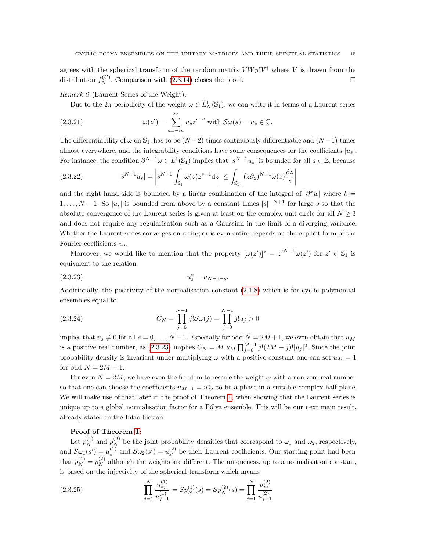agrees with the spherical transform of the random matrix  $V W y W^{\dagger}$  where V is drawn from the distribution  $f_N^{(U)}$ . Comparison with [\(2.3.14\)](#page-12-1) closes the proof.

Remark 9 (Laurent Series of the Weight).

Due to the  $2\pi$  periodicity of the weight  $\omega \in \tilde{L}^1_N(\mathbb{S}_1)$ , we can write it in terms of a Laurent series

(2.3.21) 
$$
\omega(z') = \sum_{s=-\infty}^{\infty} u_s z'^{-s} \text{ with } \mathcal{S}\omega(s) = u_s \in \mathbb{C}.
$$

The differentiability of  $\omega$  on  $\mathbb{S}_1$ , has to be  $(N-2)$ -times continuously differentiable and  $(N-1)$ -times almost everywhere, and the integrability conditions have some consequences for the coefficients  $|u_s|$ . For instance, the condition  $\partial^{N-1}\omega \in L^1(\mathbb{S}_1)$  implies that  $|s^{N-1}u_s|$  is bounded for all  $s \in \mathbb{Z}$ , because

$$
(2.3.22) \t\t |s^{N-1}u_s| = \left|s^{N-1}\int_{\mathbb{S}_1}\omega(z)z^{s-1}\mathrm{d}z\right| \le \int_{\mathbb{S}_1}\left|(z\partial_z)^{N-1}\omega(z)\frac{\mathrm{d}z}{z}\right|
$$

and the right hand side is bounded by a linear combination of the integral of  $|\partial^k w|$  where  $k =$  $1, \ldots, N-1$ . So  $|u_s|$  is bounded from above by a constant times  $|s|^{-N+1}$  for large s so that the absolute convergence of the Laurent series is given at least on the complex unit circle for all  $N \geq 3$ and does not require any regularisation such as a Gaussian in the limit of a diverging variance. Whether the Laurent series converges on a ring or is even entire depends on the explicit form of the Fourier coefficients  $u_s$ .

Moreover, we would like to mention that the property  $[\omega(z')]^* = z'^{N-1}\omega(z')$  for  $z' \in \mathbb{S}_1$  is equivalent to the relation

<span id="page-14-0"></span>
$$
(2.3.23) \t\t u_s^* = u_{N-1-s}.
$$

Additionally, the positivity of the normalisation constant [\(2.1.8\)](#page-5-3) which is for cyclic polynomial ensembles equal to

(2.3.24) 
$$
C_N = \prod_{j=0}^{N-1} j! S \omega(j) = \prod_{j=0}^{N-1} j! u_j > 0
$$

implies that  $u_s \neq 0$  for all  $s = 0, \ldots, N - 1$ . Especially for odd  $N = 2M + 1$ , we even obtain that  $u_M$ is a positive real number, as [\(2.3.23\)](#page-14-0) implies  $C_N = M!u_M \prod_{j=0}^{M-1} j!(2M-j)!|u_j|^2$ . Since the joint probability density is invariant under multiplying  $\omega$  with a positive constant one can set  $u_M = 1$ for odd  $N = 2M + 1$ .

For even  $N = 2M$ , we have even the freedom to rescale the weight  $\omega$  with a non-zero real number so that one can choose the coefficients  $u_{M-1} = u_M^*$  to be a phase in a suitable complex half-plane. We will make use of that later in the proof of Theorem [1,](#page-1-3) when showing that the Laurent series is unique up to a global normalisation factor for a Pólya ensemble. This will be our next main result, already stated in the Introduction.

## Proof of Theorem [1:](#page-1-3)

Let  $p_N^{(1)}$  and  $p_N^{(2)}$  be the joint probability densities that correspond to  $\omega_1$  and  $\omega_2$ , respectively, and  $\mathcal{S}\omega_1(s') = u_{s'}^{(1)}$  $s'$  and  $S\omega_2(s') = u_{s'}^{(2)}$  $s'$  be their Laurent coefficients. Our starting point had been that  $p_N^{(1)} = p_N^{(2)}$  although the weights are different. The uniqueness, up to a normalisation constant, is based on the injectivity of the spherical transform which means

<span id="page-14-1"></span>(2.3.25) 
$$
\prod_{j=1}^{N} \frac{u_{s_j}^{(1)}}{u_{j-1}^{(1)}} = \mathcal{S}p_N^{(1)}(s) = \mathcal{S}p_N^{(2)}(s) = \prod_{j=1}^{N} \frac{u_{s_j}^{(2)}}{u_{j-1}^{(2)}}
$$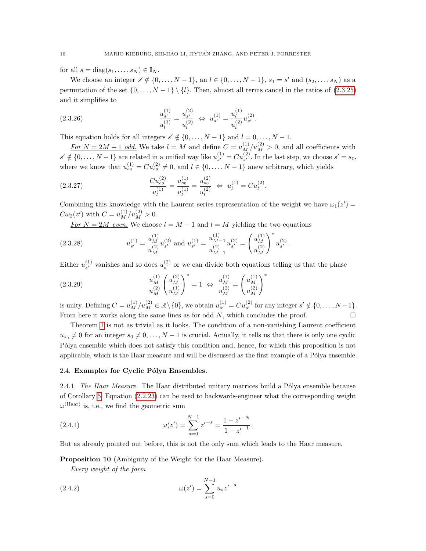for all  $s = diag(s_1, \ldots, s_N) \in \mathbb{I}_N$ .

We choose an integer  $s' \notin \{0, ..., N-1\}$ , an  $l \in \{0, ..., N-1\}$ ,  $s_1 = s'$  and  $(s_2, ..., s_N)$  as a permutation of the set  $\{0,\ldots,N-1\}\setminus\{l\}$ . Then, almost all terms cancel in the ratios of [\(2.3.25\)](#page-14-1) and it simplifies to

(2.3.26) 
$$
\frac{u_{s'}^{(1)}}{u_l^{(1)}} = \frac{u_{s'}^{(2)}}{u_l^{(2)}} \Leftrightarrow u_{s'}^{(1)} = \frac{u_l^{(1)}}{u_l^{(2)}} u_{s'}^{(2)}.
$$

This equation holds for all integers  $s' \notin \{0, \ldots, N-1\}$  and  $l = 0, \ldots, N-1$ .

For  $N = 2M + 1$  odd. We take  $l = M$  and define  $C = u_M^{(1)}/u_M^{(2)} > 0$ , and all coefficients with  $s' \notin \{0, \ldots, N-1\}$  are related in a unified way like  $u_{s'}^{(1)}$  $S_{s'}^{(1)} = Cu_{s'}^{(2)}$ . In the last step, we choose  $s' = s_0$ , where we know that  $u_{s_0}^{(1)} = Cu_{s_0}^{(2)} \neq 0$ , and  $l \in \{0, ..., N-1\}$  anew arbitrary, which yields

$$
(2.3.27) \t\t\t\t\t \frac{Cu_{s_0}^{(2)}}{u_l^{(1)}} = \frac{u_{s_0}^{(1)}}{u_l^{(1)}} = \frac{u_{s_0}^{(2)}}{u_l^{(2)}} \Leftrightarrow u_l^{(1)} = Cu_l^{(2)}.
$$

Combining this knowledge with the Laurent series representation of the weight we have  $\omega_1(z') =$  $C\omega_2(z')$  with  $C = u_M^{(1)}/u_M^{(2)} > 0$ .

<u>For  $N = 2M$  even.</u> We choose  $l = M - 1$  and  $l = M$  yielding the two equations

$$
(2.3.28) \t u_{s'}^{(1)} = \frac{u_M^{(1)}}{u_M^{(2)}} u_{s'}^{(2)} \text{ and } u_{s'}^{(1)} = \frac{u_{M-1}^{(1)}}{u_{M-1}^{(2)}} u_{s'}^{(2)} = \left(\frac{u_M^{(1)}}{u_M^{(2)}}\right)^* u_{s'}^{(2)}.
$$

Either  $u_{s'}^{(1)}$  $s'$  vanishes and so does  $u_{s'}^{(2)}$  $s<sup>(2)</sup>$  or we can divide both equations telling us that the phase

(2.3.29) 
$$
\frac{u_M^{(1)}}{u_M^{(2)}} \left(\frac{u_M^{(2)}}{u_M^{(1)}}\right)^* = 1 \iff \frac{u_M^{(1)}}{u_M^{(2)}} = \left(\frac{u_M^{(1)}}{u_M^{(2)}}\right)^*
$$

is unity. Defining  $C = u_M^{(1)}/u_M^{(2)} \in \mathbb{R} \setminus \{0\}$ , we obtain  $u_{s'}^{(1)}$  $S_{s'}^{(1)} = Cu_{s'}^{(2)}$  for any integer  $s' \notin \{0, \ldots, N-1\}.$ From here it works along the same lines as for odd  $N$ , which concludes the proof.  $\Box$ 

Theorem [1](#page-1-3) is not as trivial as it looks. The condition of a non-vanishing Laurent coefficient  $u_{s_0} \neq 0$  for an integer  $s_0 \neq 0, \ldots, N-1$  is crucial. Actually, it tells us that there is only one cyclic Pólya ensemble which does not satisfy this condition and, hence, for which this proposition is not applicable, which is the Haar measure and will be discussed as the first example of a Pólya ensemble.

### <span id="page-15-1"></span>2.4. Examples for Cyclic Pólya Ensembles.

2.4.1. The Haar Measure. The Haar distributed unitary matrices build a Pólya ensemble because of Corollary [5.](#page-9-4) Equation [\(2.2.23\)](#page-10-3) can be used to backwards-engineer what the corresponding weight  $\omega^{\text{(Haar)}}$  is, i.e., we find the geometric sum

<span id="page-15-3"></span>(2.4.1) 
$$
\omega(z') = \sum_{s=0}^{N-1} z'^{-s} = \frac{1 - z'^{-N}}{1 - z'^{-1}}.
$$

But as already pointed out before, this is not the only sum which leads to the Haar measure.

### <span id="page-15-0"></span>Proposition 10 (Ambiguity of the Weight for the Haar Measure).

Every weight of the form

<span id="page-15-2"></span>(2.4.2) 
$$
\omega(z') = \sum_{s=0}^{N-1} u_s z'^{-s}
$$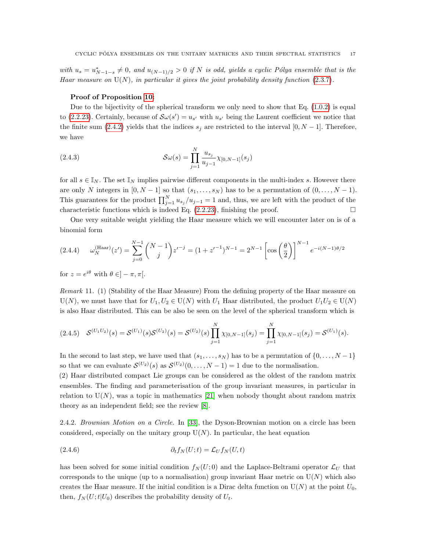with  $u_s = u_{N-1-s}^* \neq 0$ , and  $u_{(N-1)/2} > 0$  if N is odd, yields a cyclic Pólya ensemble that is the Haar measure on  $U(N)$ , in particular it gives the joint probability density function [\(2.3.7\)](#page-11-2).

#### Proof of Proposition [10:](#page-15-0)

Due to the bijectivity of the spherical transform we only need to show that Eq.  $(1.0.2)$  is equal to [\(2.2.23\)](#page-10-3). Certainly, because of  $\mathcal{S}\omega(s') = u_{s'}$  with  $u_{s'}$  being the Laurent coefficient we notice that the finite sum [\(2.4.2\)](#page-15-2) yields that the indices  $s_j$  are restricted to the interval [0, N – 1]. Therefore, we have

(2.4.3) 
$$
\mathcal{S}\omega(s) = \prod_{j=1}^{N} \frac{u_{s_j}}{u_{j-1}} \chi_{[0,N-1]}(s_j)
$$

for all  $s \in \mathbb{I}_N$ . The set  $\mathbb{I}_N$  implies pairwise different components in the multi-index s. However there are only N integers in  $[0, N - 1]$  so that  $(s_1, \ldots, s_N)$  has to be a permutation of  $(0, \ldots, N - 1)$ . This guarantees for the product  $\prod_{j=1}^{N} u_{s_j}/u_{j-1} = 1$  and, thus, we are left with the product of the characteristic functions which is indeed Eq.  $(2.2.23)$ , finishing the proof.

One very suitable weight yielding the Haar measure which we will encounter later on is of a binomial form

<span id="page-16-0"></span>
$$
(2.4.4) \qquad \omega_N^{\text{(Haar)}}(z') = \sum_{j=0}^{N-1} \binom{N-1}{j} z'^{-j} = (1 + z'^{-1})^{N-1} = 2^{N-1} \left[ \cos\left(\frac{\theta}{2}\right) \right]^{N-1} e^{-i(N-1)\theta/2}
$$

for  $z = e^{i\theta}$  with  $\theta \in ]-\pi, \pi[$ .

Remark 11. (1) (Stability of the Haar Measure) From the defining property of the Haar measure on  $U(N)$ , we must have that for  $U_1, U_2 \in U(N)$  with  $U_1$  Haar distributed, the product  $U_1U_2 \in U(N)$ is also Haar distributed. This can be also be seen on the level of the spherical transform which is

$$
(2.4.5) \quad \mathcal{S}^{(U_1 U_2)}(s) = \mathcal{S}^{(U_1)}(s) \mathcal{S}^{(U_2)}(s) = \mathcal{S}^{(U_2)}(s) \prod_{j=1}^{N} \chi_{[0,N-1]}(s_j) = \prod_{j=1}^{N} \chi_{[0,N-1]}(s_j) = \mathcal{S}^{(U_1)}(s).
$$

In the second to last step, we have used that  $(s_1, \ldots, s_N)$  has to be a permutation of  $\{0, \ldots, N-1\}$ so that we can evaluate  $\mathcal{S}^{(U_2)}(s)$  as  $\mathcal{S}^{(U_2)}(0,\ldots,N-1)=1$  due to the normalisation.

(2) Haar distributed compact Lie groups can be considered as the oldest of the random matrix ensembles. The finding and parameterisation of the group invariant measures, in particular in relation to  $U(N)$ , was a topic in mathematics [\[21\]](#page-35-16) when nobody thought about random matrix theory as an independent field; see the review [\[8\]](#page-34-8).

2.4.2. Brownian Motion on a Circle. In [\[33\]](#page-35-15), the Dyson-Brownian motion on a circle has been considered, especially on the unitary group  $U(N)$ . In particular, the heat equation

(2.4.6) 
$$
\partial_t f_N(U;t) = \mathcal{L}_U f_N(U,t)
$$

has been solved for some initial condition  $f_N(U; 0)$  and the Laplace-Beltrami operator  $\mathcal{L}_U$  that corresponds to the unique (up to a normalisation) group invariant Haar metric on  $U(N)$  which also creates the Haar measure. If the initial condition is a Dirac delta function on  $U(N)$  at the point  $U_0$ , then,  $f_N(U;t|U_0)$  describes the probability density of  $U_t$ .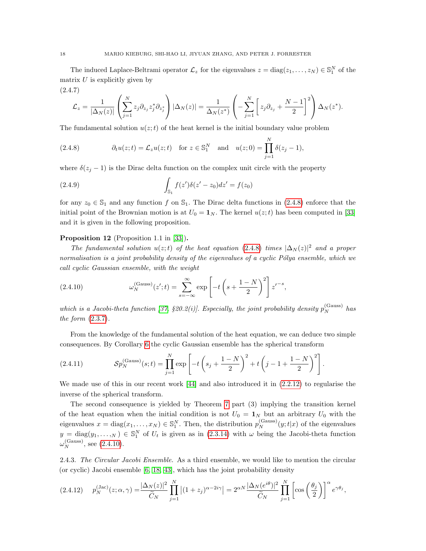The induced Laplace-Beltrami operator  $\mathcal{L}_z$  for the eigenvalues  $z = \text{diag}(z_1, \dots, z_N) \in \mathbb{S}_1^N$  of the matrix  $U$  is explicitly given by

$$
(2.4.7)
$$
\n
$$
\mathcal{L}_z = \frac{1}{|\Delta_N(z)|} \left( \sum_{j=1}^N z_j \partial_{z_j} z_j^* \partial_{z_j^*} \right) |\Delta_N(z)| = \frac{1}{\Delta_N(z^*)} \left( -\sum_{j=1}^N \left[ z_j \partial_{z_j} + \frac{N-1}{2} \right]^2 \right) \Delta_N(z^*).
$$

The fundamental solution  $u(z;t)$  of the heat kernel is the initial boundary value problem

<span id="page-17-1"></span>(2.4.8) 
$$
\partial_t u(z;t) = \mathcal{L}_z u(z;t) \quad \text{for } z \in \mathbb{S}_1^N \quad \text{and} \quad u(z;0) = \prod_{j=1}^N \delta(z_j-1),
$$

where  $\delta(z_i - 1)$  is the Dirac delta function on the complex unit circle with the property

(2.4.9) 
$$
\int_{\mathbb{S}_1} f(z') \delta(z'-z_0) dz' = f(z_0)
$$

for any  $z_0 \in \mathbb{S}_1$  and any function f on  $\mathbb{S}_1$ . The Dirac delta functions in [\(2.4.8\)](#page-17-1) enforce that the initial point of the Brownian motion is at  $U_0 = \mathbf{1}_N$ . The kernel  $u(z;t)$  has been computed in [\[33\]](#page-35-15) and it is given in the following proposition.

## Proposition 12 (Proposition 1.1 in [\[33\]](#page-35-15)).

The fundamental solution  $u(z;t)$  of the heat equation [\(2.4.8\)](#page-17-1) times  $|\Delta_N(z)|^2$  and a proper normalisation is a joint probability density of the eigenvalues of a cyclic Pólya ensemble, which we call cyclic Gaussian ensemble, with the weight

<span id="page-17-2"></span>(2.4.10) 
$$
\omega_N^{\text{(Gauss)}}(z';t) = \sum_{s=-\infty}^{\infty} \exp\left[-t\left(s + \frac{1-N}{2}\right)^2\right]z'^{-s},
$$

which is a Jacobi-theta function [\[37,](#page-35-12) §20.2(i)]. Especially, the joint probability density  $p_N^{\text{(Gauss)}}$  has the form [\(2.3.7\)](#page-11-2).

From the knowledge of the fundamental solution of the heat equation, we can deduce two simple consequences. By Corollary [6](#page-11-1) the cyclic Gaussian ensemble has the spherical transform

(2.4.11) 
$$
\mathcal{S}p_N^{(\text{Gauss})}(s;t) = \prod_{j=1}^N \exp\left[-t\left(s_j + \frac{1-N}{2}\right)^2 + t\left(j-1 + \frac{1-N}{2}\right)^2\right].
$$

We made use of this in our recent work [\[44\]](#page-36-1) and also introduced it in  $(2.2.12)$  to regularise the inverse of the spherical transform.

The second consequence is yielded by Theorem [7](#page-12-0) part (3) implying the transition kernel of the heat equation when the initial condition is not  $U_0 = \mathbf{1}_N$  but an arbitrary  $U_0$  with the eigenvalues  $x = diag(x_1, ..., x_N) \in \mathbb{S}_1^N$ . Then, the distribution  $p_N^{(\text{Gauss})}(y; t|x)$  of the eigenvalues  $y = diag(y_1, \ldots, N) \in \mathbb{S}_1^N$  of  $U_t$  is given as in [\(2.3.14\)](#page-12-1) with  $\omega$  being the Jacobi-theta function  $\omega_N^{\text{(Gauss)}}$ , see [\(2.4.10\)](#page-17-2).

<span id="page-17-0"></span>2.4.3. The Circular Jacobi Ensemble. As a third ensemble, we would like to mention the circular (or cyclic) Jacobi ensemble [\[6,](#page-34-5) [18,](#page-34-0) [43\]](#page-36-2), which has the joint probability density

<span id="page-17-3"></span>
$$
(2.4.12) \t p_N^{(\text{Jac})}(z;\alpha,\gamma) = \frac{|\Delta_N(z)|^2}{\widetilde{C}_N} \prod_{j=1}^N \left| (1+z_j)^{\alpha-2i\gamma} \right| = 2^{\alpha N} \frac{|\Delta_N(e^{i\theta})|^2}{\widetilde{C}_N} \prod_{j=1}^N \left[ \cos\left(\frac{\theta_j}{2}\right) \right]^\alpha e^{\gamma \theta_j},
$$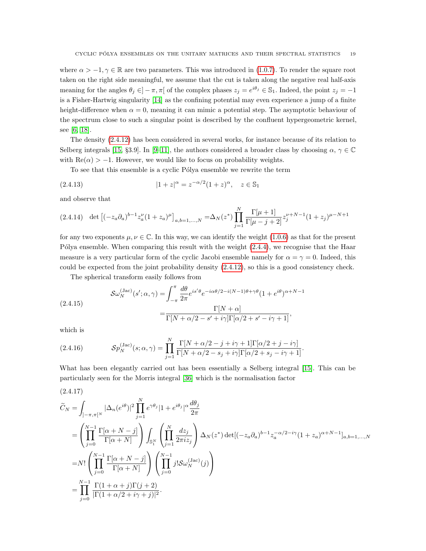where  $\alpha > -1, \gamma \in \mathbb{R}$  are two parameters. This was introduced in [\(1.0.7\)](#page-2-0). To render the square root taken on the right side meaningful, we assume that the cut is taken along the negative real half-axis meaning for the angles  $\theta_j \in ]-\pi, \pi[$  of the complex phases  $z_j = e^{i\theta_j} \in \mathbb{S}_1$ . Indeed, the point  $z_j = -1$ is a Fisher-Hartwig singularity [\[14\]](#page-34-9) as the confining potential may even experience a jump of a finite height-difference when  $\alpha = 0$ , meaning it can mimic a potential step. The asymptotic behaviour of the spectrum close to such a singular point is described by the confluent hypergeometric kernel, see [\[6,](#page-34-5) [18\]](#page-34-0).

The density [\(2.4.12\)](#page-17-3) has been considered in several works, for instance because of its relation to Selberg integrals [\[15,](#page-34-10) §3.9]. In [\[9](#page-34-11)[–11\]](#page-34-12), the authors considered a broader class by choosing  $\alpha, \gamma \in \mathbb{C}$ with  $\text{Re}(\alpha) > -1$ . However, we would like to focus on probability weights.

To see that this ensemble is a cyclic Pólya ensemble we rewrite the term

(2.4.13) 
$$
|1+z|^{\alpha} = z^{-\alpha/2} (1+z)^{\alpha}, \quad z \in \mathbb{S}_1
$$

and observe that

$$
(2.4.14) \det \left[ (-z_a \partial_a)^{b-1} z_a^{\nu} (1+z_a)^{\mu} \right]_{a,b=1,\dots,N} = \Delta_N(z^*) \prod_{j=1}^N \frac{\Gamma[\mu+1]}{\Gamma[\mu-j+2]} z_j^{\nu+N-1} (1+z_j)^{\mu-N+1}
$$

for any two exponents  $\mu, \nu \in \mathbb{C}$ . In this way, we can identify the weight [\(1.0.6\)](#page-2-1) as that for the present Pólya ensemble. When comparing this result with the weight  $(2.4.4)$ , we recognise that the Haar measure is a very particular form of the cyclic Jacobi ensemble namely for  $\alpha = \gamma = 0$ . Indeed, this could be expected from the joint probability density [\(2.4.12\)](#page-17-3), so this is a good consistency check.

The spherical transform easily follows from

<span id="page-18-1"></span>(2.4.15)  

$$
\mathcal{S}\omega_N^{(\text{Jac})}(s';\alpha,\gamma) = \int_{-\pi}^{\pi} \frac{d\theta}{2\pi} e^{is'\theta} e^{-i\alpha\theta/2 - i(N-1)\theta + \gamma\theta} (1 + e^{i\theta})^{\alpha+N-1}
$$

$$
= \frac{\Gamma[N+\alpha]}{\Gamma[N+\alpha/2 - s' + i\gamma]\Gamma[\alpha/2 + s' - i\gamma + 1]},
$$

which is

(2.4.16) 
$$
\mathcal{S}p_N^{(\text{Jac})}(s;\alpha,\gamma) = \prod_{j=1}^N \frac{\Gamma[N+\alpha/2-j+i\gamma+1]\Gamma[\alpha/2+j-i\gamma]}{\Gamma[N+\alpha/2-s_j+i\gamma]\Gamma[\alpha/2+s_j-i\gamma+1]}.
$$

What has been elegantly carried out has been essentially a Selberg integral [\[15\]](#page-34-10). This can be particularly seen for the Morris integral [\[36\]](#page-35-17) which is the normalisation factor

<span id="page-18-0"></span>
$$
(2.4.17)
$$
\n
$$
\widetilde{C}_{N} = \int_{]-\pi,\pi\left[N\right]} |\Delta_{n}(e^{i\theta})|^{2} \prod_{j=1}^{N} e^{\gamma \theta_{j}} |1 + e^{i\theta_{j}}|^{\alpha} \frac{d\theta_{j}}{2\pi}
$$
\n
$$
= \left( \prod_{j=0}^{N-1} \frac{\Gamma[\alpha + N - j]}{\Gamma[\alpha + N]} \right) \int_{\mathbb{S}_{1}^{N}} \left( \prod_{j=1}^{N} \frac{dz_{j}}{2\pi iz_{j}} \right) \Delta_{N}(z^{*}) \det[(-z_{a}\partial_{a})^{b-1} z_{a}^{-\alpha/2 - i\gamma} (1 + z_{a})^{\alpha+N-1}]_{a,b=1,...,N}
$$
\n
$$
= N! \left( \prod_{j=0}^{N-1} \frac{\Gamma[\alpha + N - j]}{\Gamma[\alpha + N]} \right) \left( \prod_{j=0}^{N-1} j! S \omega_{N}^{(\text{Jac})}(j) \right)
$$
\n
$$
= \prod_{j=0}^{N-1} \frac{\Gamma(1 + \alpha + j)\Gamma(j + 2)}{|\Gamma(1 + \alpha/2 + i\gamma + j)|^{2}}.
$$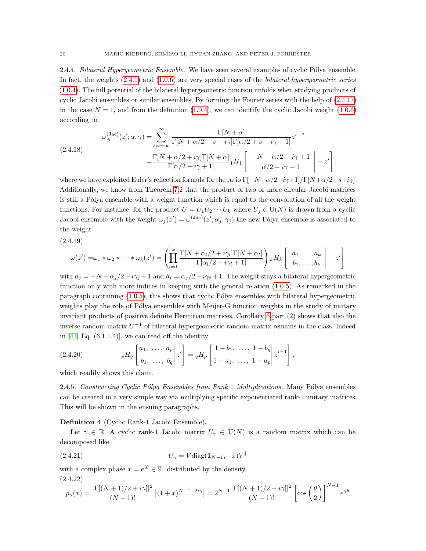2.4.4. Bilateral Hypergeometric Ensemble. We have seen several examples of cyclic Pólya ensemble. In fact, the weights  $(2.4.1)$  and  $(1.0.6)$  are very special cases of the *bilateral hypergeometric series* [\(1.0.4\)](#page-2-2). The full potential of the bilateral hypergeometric function unfolds when studying products of cyclic Jacobi ensembles or similar ensembles. By forming the Fourier series with the help of [\(2.4.17\)](#page-18-0) in the case  $N = 1$ , and from the definition [\(1.0.4\)](#page-2-2), we can identify the cyclic Jacobi weight [\(1.0.6\)](#page-2-1) according to

(2.4.18)  

$$
\omega_N^{(\text{Jac})}(z'; \alpha, \gamma) = \sum_{s=-\infty}^{\infty} \frac{\Gamma[N+\alpha]}{\Gamma[N+\alpha/2-s+i\gamma]\Gamma[\alpha/2+s-i\gamma+1]} z'^{-s}
$$

$$
= \frac{\Gamma[N+\alpha/2+i\gamma]\Gamma[N+\alpha]}{\Gamma[\alpha/2-i\gamma+1]} {}_1H_1 \left[ \begin{array}{c} -N-\alpha/2-i\gamma+1\\ \alpha/2-i\gamma+1 \end{array} \bigg| -z' \right],
$$

where we have exploited Euler's reflection formula for the ratio  $\Gamma[-N-\alpha/2-i\gamma+1]/\Gamma[N+\alpha/2-s+i\gamma]$ . Additionally, we know from Theorem [7.](#page-12-0)2 that the product of two or more circular Jacobi matrices is still a Pólya ensemble with a weight function which is equal to the convolution of all the weight functions. For instance, for the product  $U = U_1U_2\cdots U_k$  where  $U_j \in U(N)$  is drawn from a cyclic Jacobi ensemble with the weight  $\omega_j(z') = \omega^{(\text{Jac})}(z'; \alpha_j, \gamma_j)$  the new Pólya ensemble is associated to the weight

(2.4.19)

$$
\omega(z') = \omega_1 * \omega_2 * \cdots * \omega_k(z') = \left( \prod_{l=1}^k \frac{\Gamma[N + \alpha_l/2 + i\gamma_l]\Gamma[N + \alpha_l]}{\Gamma[\alpha_l/2 - i\gamma_l + 1]}\right) {}_kH_k \left[ \begin{array}{c} a_1, \ldots, a_k \\ b_1, \ldots, b_k \end{array} \bigg| - z' \right]
$$

with  $a_j = -N - \alpha_j/2 - i\gamma_j + 1$  and  $b_j = \alpha_j/2 - i\gamma_j + 1$ . The weight stays a bilateral hypergeometric function only with more indices in keeping with the general relation [\(1.0.5\)](#page-2-3). As remarked in the paragraph containing  $(1.0.5)$ , this shows that cyclic Pólya ensembles with bilateral hypergeometric weights play the role of Pólya ensembles with Meijer-G function weights in the study of unitary invariant products of positive definite Hermitian matrices. Corollary [6](#page-11-1) part (2) shows that also the inverse random matrix  $U^{-1}$  of bilateral hypergeometric random matrix remains in the class. Indeed in  $[41, Eq. (6.1.1.4)],$  we can read off the identity

(2.4.20) 
$$
{}_{p}H_{q}\left[\begin{array}{ccc} a_{1}, & \ldots, & a_{p} \\ b_{1}, & \ldots, & b_{q} \end{array} \right] z' \right] = {}_{q}H_{p}\left[\begin{array}{ccc} 1-b_{1}, & \ldots, & 1-b_{q} \\ 1-a_{1}, & \ldots, & 1-a_{p} \end{array} \right] z'^{-1}\right],
$$

which readily shows this claim.

2.4.5. Constructing Cyclic Pólya Ensembles from Rank 1 Multiplications. Many Pólya ensembles can be created in a very simple way via multiplying specific exponentiated rank-1 unitary matrices. This will be shown in the ensuing paragraphs.

Definition 4 (Cyclic Rank-1 Jacobi Ensemble).

Let  $\gamma \in \mathbb{R}$ . A cyclic rank-1 Jacobi matrix  $U_{\gamma} \in U(N)$  is a random matrix which can be decomposed like

$$
(2.4.21) \t\t\t U_{\gamma} = V \text{diag}(\mathbf{1}_{N-1}, -x)V^{\dagger}
$$

with a complex phase  $x = e^{i\theta} \in \mathbb{S}_1$  distributed by the density (2.4.22)

$$
p_{\gamma}(x) = \frac{|\Gamma[(N+1)/2 + i\gamma]|^2}{(N-1)!} |(1+x)^{N-1-2i\gamma}| = 2^{N-1} \frac{|\Gamma[(N+1)/2 + i\gamma]|^2}{(N-1)!} \left[\cos\left(\frac{\theta}{2}\right)\right]^{N-1} e^{\gamma \theta}
$$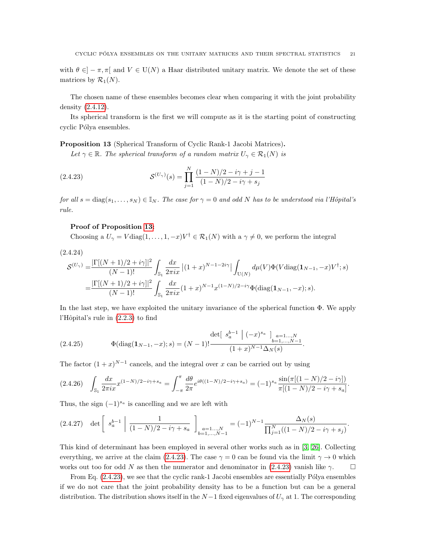with  $\theta \in ]-\pi, \pi[$  and  $V \in U(N)$  a Haar distributed unitary matrix. We denote the set of these matrices by  $\mathcal{R}_1(N)$ .

The chosen name of these ensembles becomes clear when comparing it with the joint probability density [\(2.4.12\)](#page-17-3).

Its spherical transform is the first we will compute as it is the starting point of constructing cyclic Pólya ensembles.

<span id="page-20-0"></span>Proposition 13 (Spherical Transform of Cyclic Rank-1 Jacobi Matrices).

<span id="page-20-1"></span>Let  $\gamma \in \mathbb{R}$ . The spherical transform of a random matrix  $U_{\gamma} \in \mathcal{R}_1(N)$  is

(2.4.23) 
$$
\mathcal{S}^{(U_{\gamma})}(s) = \prod_{j=1}^{N} \frac{(1-N)/2 - i\gamma + j - 1}{(1-N)/2 - i\gamma + s_j}
$$

for all  $s = \text{diag}(s_1, \ldots, s_N) \in \mathbb{I}_N$ . The case for  $\gamma = 0$  and odd N has to be understood via l'Hôpital's rule.

### Proof of Proposition [13:](#page-20-0)

Choosing a  $U_{\gamma} = V \text{diag}(1,\ldots,1,-x)V^{\dagger} \in \mathcal{R}_1(N)$  with a  $\gamma \neq 0$ , we perform the integral

(2.4.24)

$$
\mathcal{S}^{(U_{\gamma})} = \frac{|\Gamma[(N+1)/2 + i\gamma]|^2}{(N-1)!} \int_{\mathbb{S}_1} \frac{dx}{2\pi ix} |(1+x)^{N-1-2i\gamma}| \int_{\mathcal{U}(N)} d\mu(V) \Phi(V \text{diag}(\mathbf{1}_{N-1}, -x)V^{\dagger}; s)
$$
  
= 
$$
\frac{|\Gamma[(N+1)/2 + i\gamma]|^2}{(N-1)!} \int_{\mathbb{S}_1} \frac{dx}{2\pi ix} (1+x)^{N-1} x^{(1-N)/2 - i\gamma} \Phi(\text{diag}(\mathbf{1}_{N-1}, -x); s).
$$

In the last step, we have exploited the unitary invariance of the spherical function  $\Phi$ . We apply l'Hôpital's rule in  $(2.2.3)$  to find

(2.4.25) 
$$
\Phi(\text{diag}(\mathbf{1}_{N-1}, -x); s) = (N-1)! \frac{\det[ \ s_a^{b-1} \ | \ (-x)^{s_a} \ ]_{a=1...,N}}{(1+x)^{N-1} \Delta_N(s)}.
$$

The factor  $(1+x)^{N-1}$  cancels, and the integral over x can be carried out by using

$$
(2.4.26)\quad \int_{\mathbb{S}_1} \frac{dx}{2\pi ix} x^{(1-N)/2 - i\gamma + s_a} = \int_{-\pi}^{\pi} \frac{d\theta}{2\pi} e^{i\theta((1-N)/2 - i\gamma + s_a)} = (-1)^{s_a} \frac{\sin(\pi[(1-N)/2 - i\gamma])}{\pi[(1-N)/2 - i\gamma + s_a]}.
$$

Thus, the sign  $(-1)^{s_a}$  is cancelling and we are left with

$$
(2.4.27) \quad \det \left[ \left. s_a^{b-1} \right| \frac{1}{(1-N)/2 - i\gamma + s_a} \right]_{\substack{a=1...,N \\ b=1,...,N-1}} = (-1)^{N-1} \frac{\Delta_N(s)}{\prod_{j=1}^N ((1-N)/2 - i\gamma + s_j)}.
$$

This kind of determinant has been employed in several other works such as in [\[3,](#page-34-13) [26\]](#page-35-14). Collecting everything, we arrive at the claim [\(2.4.23\)](#page-20-1). The case  $\gamma = 0$  can be found via the limit  $\gamma \to 0$  which works out too for odd N as then the numerator and denominator in [\(2.4.23\)](#page-20-1) vanish like  $\gamma$ .

From Eq.  $(2.4.23)$ , we see that the cyclic rank-1 Jacobi ensembles are essentially Pólya ensembles if we do not care that the joint probability density has to be a function but can be a general distribution. The distribution shows itself in the  $N-1$  fixed eigenvalues of  $U_{\gamma}$  at 1. The corresponding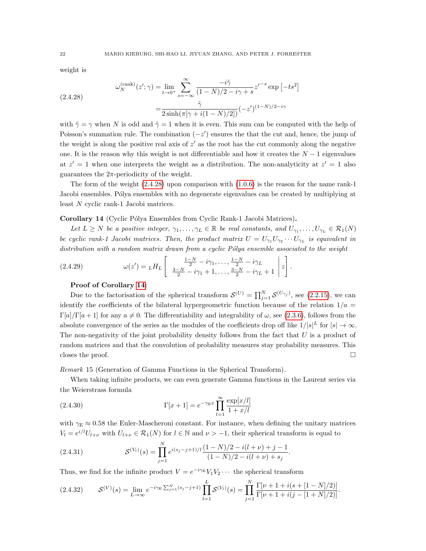weight is

<span id="page-21-0"></span>(2.4.28) 
$$
\omega_N^{(\text{rank})}(z'; \gamma) = \lim_{t \to 0^+} \sum_{s = -\infty}^{\infty} \frac{-i\tilde{\gamma}}{(1 - N)/2 - i\gamma + s} z'^{-s} \exp[-ts^2] \n= \frac{\tilde{\gamma}}{2 \sinh(\pi[\gamma + i(1 - N)/2])} (-z')^{(1 - N)/2 - i\gamma}
$$

with  $\tilde{\gamma} = \gamma$  when N is odd and  $\tilde{\gamma} = 1$  when it is even. This sum can be computed with the help of Poisson's summation rule. The combination  $(-z')$  ensures the that the cut and, hence, the jump of the weight is along the positive real axis of  $z'$  as the root has the cut commonly along the negative one. It is the reason why this weight is not differentiable and how it creates the  $N-1$  eigenvalues at  $z' = 1$  when one interprets the weight as a distribution. The non-analyticity at  $z' = 1$  also guarantees the  $2\pi$ -periodicity of the weight.

The form of the weight [\(2.4.28\)](#page-21-0) upon comparison with [\(1.0.6\)](#page-2-1) is the reason for the name rank-1 Jacobi ensembles. Pólya ensembles with no degenerate eigenvalues can be created by multiplying at least N cyclic rank-1 Jacobi matrices.

## <span id="page-21-1"></span>Corollary 14 (Cyclic Pólya Ensembles from Cyclic Rank-1 Jacobi Matrices).

Let  $L \geq N$  be a positive integer,  $\gamma_1, \ldots, \gamma_L \in \mathbb{R}$  be real constants, and  $U_{\gamma_1}, \ldots, U_{\gamma_L} \in \mathcal{R}_1(N)$ be cyclic rank-1 Jacobi matrices. Then, the product matrix  $U = U_{\gamma_1} U_{\gamma_2} \cdots U_{\gamma_L}$  is equivalent in distribution with a random matrix drawn from a cyclic  $P'_{0}$  ensemble associated to the weight

(2.4.29) 
$$
\omega(z') = L H_L \left[ \begin{array}{c} \frac{1-N}{2} - i\gamma_1, \dots, \frac{1-N}{2} - i\gamma_L \\ \frac{3-N}{2} - i\gamma_1 + 1, \dots, \frac{3-N}{2} - i\gamma_L + 1 \end{array} \bigg| z \right].
$$

### Proof of Corollary [14:](#page-21-1)

Due to the factorisation of the spherical transform  $\mathcal{S}^{(U)} = \prod_{j=1}^{N} \mathcal{S}^{(U_{\gamma_j})}$ , see [\(2.2.15\)](#page-8-1), we can identify the coefficients of the bilateral hypergeometric function because of the relation  $1/a =$  $\Gamma[a]/\Gamma[a+1]$  for any  $a \neq 0$ . The differentiability and integrability of  $\omega$ , see [\(2.3.6\)](#page-10-0), follows from the absolute convergence of the series as the modules of the coefficients drop off like  $1/|s|^L$  for  $|s| \to \infty$ . The non-negativity of the joint probability density follows from the fact that  $U$  is a product of random matrices and that the convolution of probability measures stay probability measures. This closes the proof.  $\square$ 

Remark 15 (Generation of Gamma Functions in the Spherical Transform).

When taking infinite products, we can even generate Gamma functions in the Laurent series via the Weierstrass formula

(2.4.30) 
$$
\Gamma[x+1] = e^{-\gamma_{\rm E}x} \prod_{l=1}^{\infty} \frac{\exp[x/l]}{1+x/l}
$$

with  $\gamma_E \approx 0.58$  the Euler-Mascheroni constant. For instance, when defining the unitary matrices  $V_l = e^{i/l} U_{l+\nu}$  with  $U_{l+\nu} \in \mathcal{R}_1(N)$  for  $l \in \mathbb{N}$  and  $\nu > -1$ , their spherical transform is equal to

(2.4.31) 
$$
\mathcal{S}^{(V_l)}(s) = \prod_{j=1}^N e^{i(s_j - j + 1)/l} \frac{(1 - N)/2 - i(l + \nu) + j - 1}{(1 - N)/2 - i(l + \nu) + s_j}.
$$

Thus, we find for the infinite product  $V = e^{-i\gamma_E} V_1 V_2 \cdots$  the spherical transform

<span id="page-21-2"></span>
$$
(2.4.32) \tS^{(V)}(s) = \lim_{L \to \infty} e^{-i\gamma_E \sum_{j=1}^N (s_j - j + 1)} \prod_{l=1}^L \mathcal{S}^{(V_l)}(s) = \prod_{j=1}^N \frac{\Gamma[\nu + 1 + i(s + [1 - N]/2)]}{\Gamma[\nu + 1 + i(j - [1 + N]/2)]}.
$$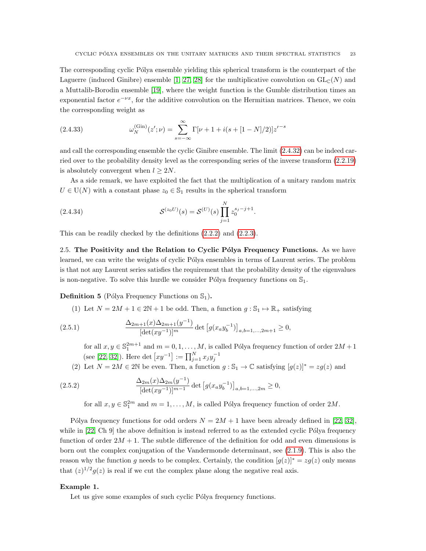The corresponding cyclic Pólya ensemble yielding this spherical transform is the counterpart of the Laguerre (induced Ginibre) ensemble [\[1,](#page-34-3) [27,](#page-35-1) [28\]](#page-35-2) for the multiplicative convolution on  $GL_{\mathbb{C}}(N)$  and a Muttalib-Borodin ensemble [\[19\]](#page-35-0), where the weight function is the Gumble distribution times an exponential factor  $e^{-\nu x}$ , for the additive convolution on the Hermitian matrices. Thence, we coin the corresponding weight as

(2.4.33) 
$$
\omega_N^{(\text{Gin})}(z';\nu) = \sum_{s=-\infty}^{\infty} \Gamma[\nu+1+i(s+[1-N]/2)]z'^{-s}
$$

and call the corresponding ensemble the cyclic Ginibre ensemble. The limit [\(2.4.32\)](#page-21-2) can be indeed carried over to the probability density level as the corresponding series of the inverse transform [\(2.2.19\)](#page-9-0) is absolutely convergent when  $l > 2N$ .

As a side remark, we have exploited the fact that the multiplication of a unitary random matrix  $U \in U(N)$  with a constant phase  $z_0 \in \mathbb{S}_1$  results in the spherical transform

(2.4.34) 
$$
\mathcal{S}^{(z_0 U)}(s) = \mathcal{S}^{(U)}(s) \prod_{j=1}^{N} z_0^{s_j - j + 1}.
$$

This can be readily checked by the definitions [\(2.2.2\)](#page-6-1) and [\(2.2.3\)](#page-6-2).

<span id="page-22-1"></span>2.5. The Positivity and the Relation to Cyclic Pólya Frequency Functions. As we have learned, we can write the weights of cyclic Pólya ensembles in terms of Laurent series. The problem is that not any Laurent series satisfies the requirement that the probability density of the eigenvalues is non-negative. To solve this hurdle we consider Pólya frequency functions on  $\mathbb{S}_1$ .

<span id="page-22-0"></span>**Definition 5** (Pólya Frequency Functions on  $\mathbb{S}_1$ ).

(1) Let  $N = 2M + 1 \in 2\mathbb{N} + 1$  be odd. Then, a function  $g : \mathbb{S}_1 \mapsto \mathbb{R}_+$  satisfying

(2.5.1) 
$$
\frac{\Delta_{2m+1}(x)\Delta_{2m+1}(y^{-1})}{[\det(xy^{-1})]^m} \det [g(x_ay_b^{-1})]_{a,b=1,...,2m+1} \ge 0,
$$

<span id="page-22-2"></span>for all  $x, y \in \mathbb{S}_1^{2m+1}$  and  $m = 0, 1, ..., M$ , is called Pólya frequency function of order  $2M + 1$ (see [\[22,](#page-35-18) [32\]](#page-35-11)). Here det  $[xy^{-1}] := \prod_{j=1}^{N} x_j y_j^{-1}$ 

(2) Let  $N = 2M \in 2\mathbb{N}$  be even. Then, a function  $g : \mathbb{S}_1 \to \mathbb{C}$  satisfying  $[g(z)]^* = zg(z)$  and

(2.5.2) 
$$
\frac{\Delta_{2m}(x)\Delta_{2m}(y^{-1})}{[\det(xy^{-1})]^{m-1}}\det\left[g(x_ay_b^{-1})\right]_{a,b=1,...,2m}\geq 0,
$$

<span id="page-22-3"></span>for all  $x, y \in \mathbb{S}_1^{2m}$  and  $m = 1, ..., M$ , is called Pólya frequency function of order  $2M$ .

Pólya frequency functions for odd orders  $N = 2M + 1$  have been already defined in [\[22,](#page-35-18) [32\]](#page-35-11), while in  $[22, Ch 9]$  the above definition is instead referred to as the extended cyclic Pólya frequency function of order  $2M + 1$ . The subtle difference of the definition for odd and even dimensions is born out the complex conjugation of the Vandermonde determinant, see [\(2.1.9\)](#page-5-4). This is also the reason why the function g needs to be complex. Certainly, the condition  $[g(z)]^* = zg(z)$  only means that  $(z)^{1/2}g(z)$  is real if we cut the complex plane along the negative real axis.

### <span id="page-22-4"></span>Example 1.

Let us give some examples of such cyclic Pólya frequency functions.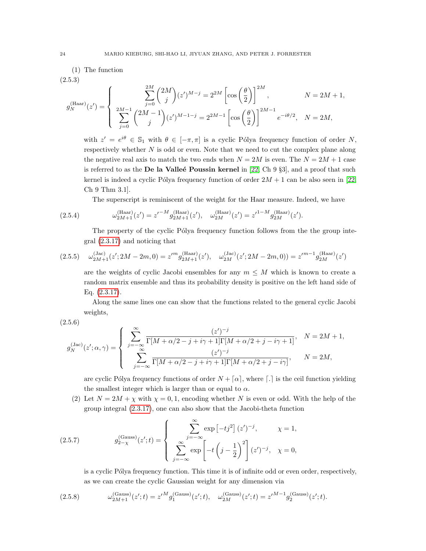(1) The function

$$
(2.5.3)
$$

$$
g_N^{\text{(Haar)}}(z') = \begin{cases} \sum_{j=0}^{2M} \binom{2M}{j} (z')^{M-j} = 2^{2M} \left[ \cos \left( \frac{\theta}{2} \right) \right]^{2M}, & N = 2M + 1, \\ \sum_{j=0}^{2M-1} \binom{2M-1}{j} (z')^{M-1-j} = 2^{2M-1} \left[ \cos \left( \frac{\theta}{2} \right) \right]^{2M-1} e^{-i\theta/2}, & N = 2M, \end{cases}
$$

with  $z' = e^{i\theta} \in \mathbb{S}_1$  with  $\theta \in [-\pi, \pi]$  is a cyclic Pólya frequency function of order N, respectively whether  $N$  is odd or even. Note that we need to cut the complex plane along the negative real axis to match the two ends when  $N = 2M$  is even. The  $N = 2M + 1$  case is referred to as the  $\bf{De}$  la Valle $\acute{\bf{e}}$  Poussin kernel in [\[22,](#page-35-18) Ch 9 §3], and a proof that such kernel is indeed a cyclic Pólya frequency function of order  $2M + 1$  can be also seen in [\[22,](#page-35-18) Ch 9 Thm 3.1].

The superscript is reminiscent of the weight for the Haar measure. Indeed, we have

(2.5.4) 
$$
\omega_{2M+1}^{(\text{Haar})}(z') = z'^{-M} g_{2M+1}^{(\text{Haar})}(z'), \quad \omega_{2M}^{(\text{Haar})}(z') = z'^{1-M} g_{2M}^{(\text{Haar})}(z').
$$

The property of the cyclic Pólya frequency function follows from the the group integral [\(2.3.17\)](#page-13-1) and noticing that

$$
(2.5.5) \quad \omega_{2M+1}^{(Jac)}(z';2M-2m,0) = z'^{m}g_{2M+1}^{(Haar)}(z'), \quad \omega_{2M}^{(Jac)}(z';2M-2m,0)) = z'^{m-1}g_{2M}^{(Haar)}(z')
$$

are the weights of cyclic Jacobi ensembles for any  $m \leq M$  which is known to create a random matrix ensemble and thus its probability density is positive on the left hand side of Eq. [\(2.3.17\)](#page-13-1).

Along the same lines one can show that the functions related to the general cyclic Jacobi weights,

(2.5.6)

$$
g_N^{\text{(Jac)}}(z';\alpha,\gamma) = \left\{ \begin{array}{ll} \displaystyle\sum_{j=-\infty}^{\infty} \frac{(z')^{-j}}{\Gamma[M+\alpha/2-j+i\gamma+1] \Gamma[M+\alpha/2+j-i\gamma+1]}, & N=2M+1, \\ \displaystyle\sum_{j=-\infty}^{\infty} \frac{(z')^{-j}}{\Gamma[M+\alpha/2-j+i\gamma+1] \Gamma[M+\alpha/2+j-i\gamma]}, & N=2M, \end{array} \right.
$$

are cyclic Pólya frequency functions of order  $N + \lceil \alpha \rceil$ , where  $\lceil \cdot \rceil$  is the ceil function yielding the smallest integer which is larger than or equal to  $\alpha$ .

(2) Let  $N = 2M + \chi$  with  $\chi = 0, 1$ , encoding whether N is even or odd. With the help of the group integral [\(2.3.17\)](#page-13-1), one can also show that the Jacobi-theta function

(2.5.7) 
$$
g_{2-\chi}^{(\text{Gauss})}(z';t) = \begin{cases} \sum_{j=-\infty}^{\infty} \exp\left[-tj^{2}\right](z')^{-j}, & \chi = 1, \\ \sum_{j=-\infty}^{\infty} \exp\left[-t\left(j-\frac{1}{2}\right)^{2}\right](z')^{-j}, & \chi = 0, \end{cases}
$$

<span id="page-23-0"></span>is a cyclic Pólya frequency function. This time it is of infinite odd or even order, respectively, as we can create the cyclic Gaussian weight for any dimension via

(2.5.8) 
$$
\omega_{2M+1}^{(\text{Gauss})}(z';t) = z'^M g_1^{(\text{Gauss})}(z';t), \quad \omega_{2M}^{(\text{Gauss})}(z';t) = z'^{M-1} g_2^{(\text{Gauss})}(z';t).
$$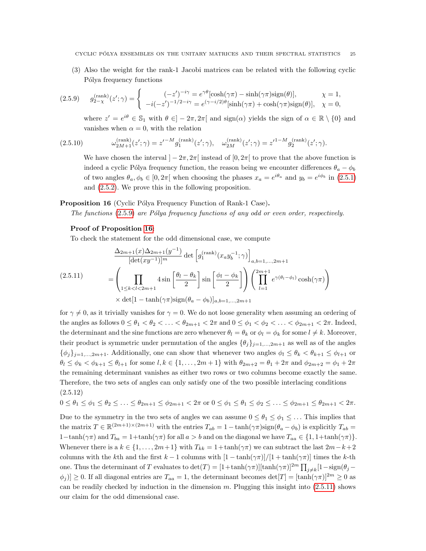(3) Also the weight for the rank-1 Jacobi matrices can be related with the following cyclic Pólya frequency functions

$$
(2.5.9) \qquad g_{2-\chi}^{(\text{rank})}(z';\gamma) = \begin{cases} \qquad (-z')^{-i\gamma} = e^{\gamma\theta}[\cosh(\gamma\pi) - \sinh(\gamma\pi)\text{sign}(\theta)], & \chi = 1, \\ \qquad -i(-z')^{-1/2 - i\gamma} = e^{(\gamma - i/2)\theta}[\sinh(\gamma\pi) + \cosh(\gamma\pi)\text{sign}(\theta)], & \chi = 0, \end{cases}
$$

<span id="page-24-0"></span>where  $z' = e^{i\theta} \in \mathbb{S}_1$  with  $\theta \in ]-2\pi, 2\pi[$  and  $sign(\alpha)$  yields the sign of  $\alpha \in \mathbb{R} \setminus \{0\}$  and vanishes when  $\alpha = 0$ , with the relation

(2.5.10) 
$$
\omega_{2M+1}^{(\text{rank})}(z';\gamma) = z'^{-M} g_1^{(\text{rank})}(z';\gamma), \quad \omega_{2M}^{(\text{rank})}(z';\gamma) = z'^{1-M} g_2^{(\text{rank})}(z';\gamma).
$$

We have chosen the interval  $]-2\pi, 2\pi[$  instead of  $[0, 2\pi[$  to prove that the above function is indeed a cyclic Pólya frequency function, the reason being we encounter differences  $\theta_a - \phi_b$ of two angles  $\theta_a, \phi_b \in [0, 2\pi]$  when choosing the phases  $x_a = e^{i\theta_a}$  and  $y_b = e^{i\phi_b}$  in [\(2.5.1\)](#page-22-2) and [\(2.5.2\)](#page-22-3). We prove this in the following proposition.

### <span id="page-24-1"></span>**Proposition 16** (Cyclic Pólya Frequency Function of Rank-1 Case).

The functions  $(2.5.9)$  are Pólya frequency functions of any odd or even order, respectively.

## Proof of Proposition [16:](#page-24-1)

To check the statement for the odd dimensional case, we compute

<span id="page-24-2"></span>
$$
\frac{\Delta_{2m+1}(x)\Delta_{2m+1}(y^{-1})}{[\det(xy^{-1})]^m} \det \left[g_1^{(\text{rank})}(x_a y_b^{-1}; \gamma)\right]_{a,b=1,\dots,2m+1}
$$
\n
$$
= \left(\prod_{1 \le k < l < 2m+1} 4\sin\left[\frac{\theta_l - \theta_k}{2}\right] \sin\left[\frac{\phi_l - \phi_k}{2}\right]\right) \left(\prod_{l=1}^{2m+1} e^{\gamma(\theta_l - \phi_l)} \cosh(\gamma \pi)\right)
$$
\n
$$
\times \det[1 - \tanh(\gamma \pi) \text{sign}(\theta_a - \phi_b)]_{a,b=1,\dots,2m+1}
$$

for  $\gamma \neq 0$ , as it trivially vanishes for  $\gamma = 0$ . We do not loose generality when assuming an ordering of the angles as follows  $0 \leq \theta_1 < \theta_2 < \ldots < \theta_{2m+1} < 2\pi$  and  $0 \leq \phi_1 < \phi_2 < \ldots < \phi_{2m+1} < 2\pi$ . Indeed, the determinant and the sine functions are zero whenever  $\theta_l = \theta_k$  or  $\phi_l = \phi_k$  for some  $l \neq k$ . Moreover, their product is symmetric under permutation of the angles  $\{\theta_j\}_{j=1,\dots,2m+1}$  as well as of the angles  $\{\phi_j\}_{j=1,\dots,2m+1}$ . Additionally, one can show that whenever two angles  $\phi_l \leq \theta_k < \theta_{k+1} \leq \phi_{l+1}$  or  $\theta_l \le \phi_k < \phi_{k+1} \le \theta_{l+1}$  for some  $l, k \in \{1, \ldots, 2m+1\}$  with  $\theta_{2m+2} = \theta_1 + 2\pi$  and  $\phi_{2m+2} = \phi_1 + 2\pi$ the remaining determinant vanishes as either two rows or two columns become exactly the same. Therefore, the two sets of angles can only satisfy one of the two possible interlacing conditions (2.5.12)

$$
0 \leq \theta_1 \leq \theta_1 \leq \theta_2 \leq \ldots \leq \theta_{2m+1} \leq \phi_{2m+1} < 2\pi \text{ or } 0 \leq \phi_1 \leq \theta_1 \leq \phi_2 \leq \ldots \leq \phi_{2m+1} \leq \theta_{2m+1} < 2\pi.
$$

Due to the symmetry in the two sets of angles we can assume  $0 \leq \theta_1 \leq \phi_1 \leq \ldots$  This implies that the matrix  $T \in \mathbb{R}^{(2m+1)\times (2m+1)}$  with the entries  $T_{ab} = 1 - \tanh(\gamma \pi) \text{sign}(\theta_a - \phi_b)$  is explicitly  $T_{ab} =$  $1-\tanh(\gamma\pi)$  and  $T_{ba} = 1+\tanh(\gamma\pi)$  for all  $a > b$  and on the diagonal we have  $T_{aa} \in \{1, 1+\tanh(\gamma\pi)\}\$ . Whenever there is a  $k \in \{1, \ldots, 2m+1\}$  with  $T_{kk} = 1 + \tanh(\gamma \pi)$  we can subtract the last  $2m-k+2$ columns with the kth and the first k – 1 columns with  $[1 - \tanh(\gamma \pi)]/[1 + \tanh(\gamma \pi)]$  times the k-th one. Thus the determinant of T evaluates to  $\det(T) = [1 + \tanh(\gamma \pi)][\tanh(\gamma \pi)]^{2m} \prod_{j \neq k} [1 - \text{sign}(\theta_j |\phi_j| \geq 0$ . If all diagonal entries are  $T_{aa} = 1$ , the determinant becomes  $\det[T] = [\tanh(\gamma \pi)]^{2m} \geq 0$  as can be readily checked by induction in the dimension  $m$ . Plugging this insight into  $(2.5.11)$  shows our claim for the odd dimensional case.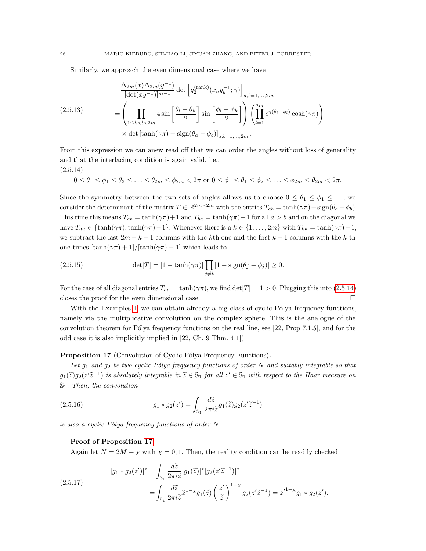Similarly, we approach the even dimensional case where we have

$$
\frac{\Delta_{2m}(x)\Delta_{2m}(y^{-1})}{[\det(xy^{-1})]^{m-1}}\det\left[g_2^{(\text{rank})}(x_ay_b^{-1};\gamma)\right]_{a,b=1,\ldots,2m}
$$
\n
$$
=\left(\prod_{1\leq k\n
$$
\times\det\left[\tanh(\gamma\pi)+\text{sign}(\theta_a-\phi_b)\right]_{a,b=1,\ldots,2m}.
$$
$$

From this expression we can anew read off that we can order the angles without loss of generality and that the interlacing condition is again valid, i.e.,

$$
(2.5.14)
$$

<span id="page-25-0"></span>
$$
0 \leq \theta_1 \leq \phi_1 \leq \theta_2 \leq \ldots \leq \theta_{2m} \leq \phi_{2m} < 2\pi \text{ or } 0 \leq \phi_1 \leq \theta_1 \leq \phi_2 \leq \ldots \leq \phi_{2m} \leq \theta_{2m} < 2\pi.
$$

Since the symmetry between the two sets of angles allows us to choose  $0 \le \theta_1 \le \phi_1 \le \ldots$ , we consider the determinant of the matrix  $T \in \mathbb{R}^{2m \times 2m}$  with the entries  $T_{ab} = \tanh(\gamma \pi) + \text{sign}(\theta_a - \phi_b)$ . This time this means  $T_{ab} = \tanh(\gamma \pi) + 1$  and  $T_{ba} = \tanh(\gamma \pi) - 1$  for all  $a > b$  and on the diagonal we have  $T_{aa} \in {\tanh(\gamma \pi), \tanh(\gamma \pi) - 1}$ . Whenever there is a  $k \in \{1, ..., 2m\}$  with  $T_{kk} = \tanh(\gamma \pi) - 1$ , we subtract the last  $2m - k + 1$  columns with the k<sup>th</sup> one and the first  $k - 1$  columns with the k-th one times  $[\tanh(\gamma \pi) + 1]/[\tanh(\gamma \pi) - 1]$  which leads to

(2.5.15) 
$$
\det[T] = [1 - \tanh(\gamma \pi)] \prod_{j \neq k} [1 - \text{sign}(\theta_j - \phi_j)] \ge 0.
$$

For the case of all diagonal entries  $T_{aa} = \tanh(\gamma \pi)$ , we find  $\det[T] = 1 > 0$ . Plugging this into [\(2.5.14\)](#page-25-0) closes the proof for the even dimensional case.

With the Examples [1,](#page-22-4) we can obtain already a big class of cyclic  $P_0$ olya frequency functions, namely via the multiplicative convolution on the complex sphere. This is the analogue of the convolution theorem for Pólya frequency functions on the real line, see  $[22, Prop 7.1.5]$ , and for the odd case it is also implicitly implied in [\[22,](#page-35-18) Ch. 9 Thm. 4.1])

## <span id="page-25-1"></span>Proposition 17 (Convolution of Cyclic Pólya Frequency Functions).

Let  $g_1$  and  $g_2$  be two cyclic Pólya frequency functions of order N and suitably integrable so that  $g_1(\widetilde{z})g_2(z'\widetilde{z}^{-1})$  is absolutely integrable in  $\widetilde{z} \in \mathbb{S}_1$  for all  $z' \in \mathbb{S}_1$  with respect to the Haar measure on  $\mathbb{S}_1$ . Then, the convolution

(2.5.16) 
$$
g_1 * g_2(z') = \int_{\mathbb{S}_1} \frac{d\widetilde{z}}{2\pi i \widetilde{z}} g_1(\widetilde{z}) g_2(z'\widetilde{z}^{-1})
$$

is also a cyclic Pólya frequency functions of order  $N$ .

### Proof of Proposition [17:](#page-25-1)

Again let  $N = 2M + \chi$  with  $\chi = 0, 1$ . Then, the reality condition can be readily checked

(2.5.17) 
$$
[g_1 * g_2(z')]^* = \int_{\mathbb{S}_1} \frac{d\widetilde{z}}{2\pi i \widetilde{z}} [g_1(\widetilde{z})]^* [g_2(z'\widetilde{z}^{-1})]^*
$$

$$
= \int_{\mathbb{S}_1} \frac{d\widetilde{z}}{2\pi i \widetilde{z}} \widetilde{z}^{1-\chi} g_1(\widetilde{z}) \left(\frac{z'}{\widetilde{z}}\right)^{1-\chi} g_2(z'\widetilde{z}^{-1}) = z'^{1-\chi} g_1 * g_2(z').
$$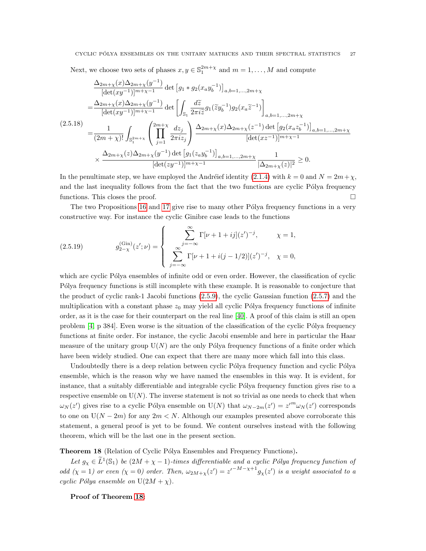Next, we choose two sets of phases  $x, y \in \mathbb{S}_1^{2m+x}$  and  $m = 1, ..., M$  and compute

$$
\frac{\Delta_{2m+\chi}(x)\Delta_{2m+\chi}(y^{-1})}{[\det(xy^{-1})]^{m+\chi-1}} \det \left[ g_1 * g_2(x_a y_b^{-1}) \right]_{a,b=1,...,2m+\chi}
$$
\n
$$
= \frac{\Delta_{2m+\chi}(x)\Delta_{2m+\chi}(y^{-1})}{[\det(xy^{-1})]^{m+\chi-1}} \det \left[ \int_{\mathbb{S}_1} \frac{d\tilde{z}}{2\pi i \tilde{z}} g_1(\tilde{z} y_b^{-1}) g_2(x_a \tilde{z}^{-1}) \right]_{a,b=1,...,2m+\chi}
$$
\n(2.5.18)\n
$$
= \frac{1}{(2m+\chi)!} \int_{\mathbb{S}_1^{2m+\chi}} \left( \prod_{j=1}^{2m+\chi} \frac{dz_j}{2\pi i z_j} \right) \frac{\Delta_{2m+\chi}(x)\Delta_{2m+\chi}(z^{-1}) \det \left[ g_2(x_a z_b^{-1}) \right]_{a,b=1,...,2m+\chi}}{[\det(xz^{-1})]^{m+\chi-1}}
$$
\n
$$
\times \frac{\Delta_{2m+\chi}(z)\Delta_{2m+\chi}(y^{-1}) \det \left[ g_1(z_a y_b^{-1}) \right]_{a,b=1,...,2m+\chi}}{[\det(zy^{-1})]^{m+\chi-1}} \frac{1}{|\Delta_{2m+\chi}(z)|^2} \ge 0.
$$

In the penultimate step, we have employed the Andréief identity [\(2.1.4\)](#page-4-2) with  $k = 0$  and  $N = 2m + \chi$ , and the last inequality follows from the fact that the two functions are cyclic Pólya frequency functions. This closes the proof.

The two Propositions [16](#page-24-1) and [17](#page-25-1) give rise to many other Pólya frequency functions in a very constructive way. For instance the cyclic Ginibre case leads to the functions

(2.5.19) 
$$
g_{2-\chi}^{(\text{Gin})}(z';\nu) = \begin{cases} \sum_{j=-\infty}^{\infty} \Gamma[\nu+1+ij](z')^{-j}, & \chi = 1, \\ \sum_{j=-\infty}^{\infty} \Gamma[\nu+1+i(j-1/2)](z')^{-j}, & \chi = 0, \end{cases}
$$

which are cyclic Pólya ensembles of infinite odd or even order. However, the classification of cyclic Pólya frequency functions is still incomplete with these example. It is reasonable to conjecture that the product of cyclic rank-1 Jacobi functions [\(2.5.9\)](#page-24-0), the cyclic Gaussian function [\(2.5.7\)](#page-23-0) and the multiplication with a constant phase  $z_0$  may yield all cyclic Pólya frequency functions of infinite order, as it is the case for their counterpart on the real line [\[40\]](#page-36-0). A proof of this claim is still an open problem  $[4, p \ 384]$ . Even worse is the situation of the classification of the cyclic Pólya frequency functions at finite order. For instance, the cyclic Jacobi ensemble and here in particular the Haar measure of the unitary group  $U(N)$  are the only Pólya frequency functions of a finite order which have been widely studied. One can expect that there are many more which fall into this class.

Undoubtedly there is a deep relation between cyclic Pólya frequency function and cyclic Pólya ensemble, which is the reason why we have named the ensembles in this way. It is evident, for instance, that a suitably differentiable and integrable cyclic Pólya frequency function gives rise to a respective ensemble on  $U(N)$ . The inverse statement is not so trivial as one needs to check that when  $\omega_N(z')$  gives rise to a cyclic Pólya ensemble on U(N) that  $\omega_{N-2m}(z') = z'^m \omega_N(z')$  corresponds to one on  $U(N-2m)$  for any  $2m < N$ . Although our examples presented above corroborate this statement, a general proof is yet to be found. We content ourselves instead with the following theorem, which will be the last one in the present section.

<span id="page-26-0"></span>Theorem 18 (Relation of Cyclic Pólya Ensembles and Frequency Functions).

Let  $g_{\chi} \in \tilde{L}^1(\mathbb{S}_1)$  be  $(2M + \chi - 1)$ -times differentiable and a cyclic Pólya frequency function of odd  $(\chi = 1)$  or even  $(\chi = 0)$  order. Then,  $\omega_{2M+\chi}(z') = z'^{-M-\chi+1}g_{\chi}(z')$  is a weight associated to a cyclic Pólya ensemble on  $U(2M + \chi)$ .

Proof of Theorem [18:](#page-26-0)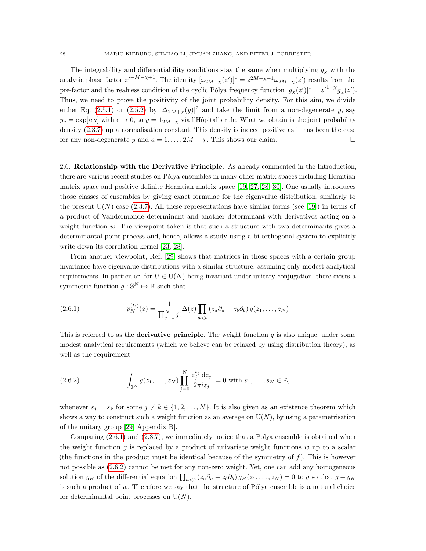The integrability and differentiability conditions stay the same when multiplying  $g<sub>x</sub>$  with the analytic phase factor  $z^{r-M-\chi+1}$ . The identity  $[\omega_{2M+\chi}(z')]^* = z^{2M+\chi-1}\omega_{2M+\chi}(z')$  results from the pre-factor and the realness condition of the cyclic Pólya frequency function  $[g_\chi(z')]^* = z'^{1-\chi} g_\chi(z')$ . Thus, we need to prove the positivity of the joint probability density. For this aim, we divide either Eq. [\(2.5.1\)](#page-22-2) or [\(2.5.2\)](#page-22-3) by  $|\Delta_{2M+\chi}(y)|^2$  and take the limit from a non-degenerate y, say  $y_a = \exp[i\epsilon a]$  with  $\epsilon \to 0$ , to  $y = \mathbf{1}_{2M+\chi}$  via l'Hôpital's rule. What we obtain is the joint probability density [\(2.3.7\)](#page-11-2) up a normalisation constant. This density is indeed positive as it has been the case for any non-degenerate y and  $a = 1, ..., 2M + \chi$ . This shows our claim.

2.6. Relationship with the Derivative Principle. As already commented in the Introduction, there are various recent studies on Pólya ensembles in many other matrix spaces including Hemitian matrix space and positive definite Hermtian matrix space [\[19,](#page-35-0) [27,](#page-35-1) [28,](#page-35-2) [30\]](#page-35-3). One usually introduces those classes of ensembles by giving exact formulae for the eigenvalue distribution, similarly to the present  $U(N)$  case [\(2.3.7\)](#page-11-2). All these representations have similar forms (see [\[19\]](#page-35-0)) in terms of a product of Vandermonde determinant and another determinant with derivatives acting on a weight function  $w$ . The viewpoint taken is that such a structure with two determinants gives a determinantal point process and, hence, allows a study using a bi-orthogonal system to explicitly write down its correlation kernel [\[23,](#page-35-6) [28\]](#page-35-2).

From another viewpoint, Ref. [\[29\]](#page-35-19) shows that matrices in those spaces with a certain group invariance have eigenvalue distributions with a similar structure, assuming only modest analytical requirements. In particular, for  $U \in U(N)$  being invariant under unitary conjugation, there exists a symmetric function  $g : \mathbb{S}^N \mapsto \mathbb{R}$  such that

<span id="page-27-0"></span>(2.6.1) 
$$
p_N^{(U)}(z) = \frac{1}{\prod_{j=1}^N j!} \Delta(z) \prod_{a < b} (z_a \partial_a - z_b \partial_b) g(z_1, \dots, z_N)
$$

This is referred to as the **derivative principle**. The weight function  $g$  is also unique, under some modest analytical requirements (which we believe can be relaxed by using distribution theory), as well as the requirement

<span id="page-27-1"></span>(2.6.2) 
$$
\int_{\mathbb{S}^N} g(z_1, ..., z_N) \prod_{j=0}^N \frac{z_j^{s_j} \, \mathrm{d} z_j}{2\pi i z_j} = 0 \text{ with } s_1, ..., s_N \in \mathbb{Z},
$$

whenever  $s_j = s_k$  for some  $j \neq k \in \{1, 2, ..., N\}$ . It is also given as an existence theorem which shows a way to construct such a weight function as an average on  $U(N)$ , by using a parametrisation of the unitary group [\[29,](#page-35-19) Appendix B].

Comparing  $(2.6.1)$  and  $(2.3.7)$ , we immediately notice that a Pólya ensemble is obtained when the weight function g is replaced by a product of univariate weight functions  $w$  up to a scalar (the functions in the product must be identical because of the symmetry of  $f$ ). This is however not possible as [\(2.6.2\)](#page-27-1) cannot be met for any non-zero weight. Yet, one can add any homogeneous solution  $g_H$  of the differential equation  $\prod_{a to g so that  $g + g_H$$ is such a product of  $w$ . Therefore we say that the structure of Pólya ensemble is a natural choice for determinantal point processes on  $U(N)$ .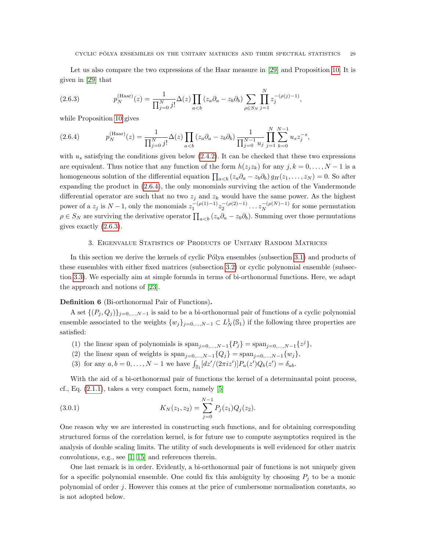Let us also compare the two expressions of the Haar measure in [\[29\]](#page-35-19) and Proposition [10.](#page-15-0) It is given in [\[29\]](#page-35-19) that

<span id="page-28-2"></span>(2.6.3) 
$$
p_N^{\text{(Haar)}}(z) = \frac{1}{\prod_{j=0}^N j!} \Delta(z) \prod_{a < b} (z_a \partial_a - z_b \partial_b) \sum_{\rho \in S_N} \prod_{j=1}^N z_j^{-(\rho(j)-1)},
$$

while Proposition [10](#page-15-0) gives

<span id="page-28-1"></span>(2.6.4) 
$$
p_N^{\text{(Haar)}}(z) = \frac{1}{\prod_{j=0}^N j!} \Delta(z) \prod_{a
$$

with  $u_s$  satisfying the conditions given below  $(2.4.2)$ . It can be checked that these two expressions are equivalent. Thus notice that any function of the form  $h(z_iz_k)$  for any  $j, k = 0, \ldots, N-1$  is a homogeneous solution of the differential equation  $\prod_{a. So after$ expanding the product in [\(2.6.4\)](#page-28-1), the only monomials surviving the action of the Vandermonde differential operator are such that no two  $z_j$  and  $z_k$  would have the same power. As the highest power of a  $z_j$  is  $N-1$ , only the monomials  $z_1^{-(\rho(1)-1)}z_2^{-(\rho(2)-1)}\ldots z_N^{-(\rho(N)-1)}$  for some permutation  $\rho \in S_N$  are surviving the derivative operator  $\prod_{a. Summing over those permutations$ gives exactly [\(2.6.3\)](#page-28-2).

### 3. Eigenvalue Statistics of Products of Unitary Random Matrices

<span id="page-28-0"></span>In this section we derive the kernels of cyclic Pólya ensembles (subsection [3.1\)](#page-29-1) and products of these ensembles with either fixed matrices (subsection [3.2\)](#page-32-0) or cyclic polynomial ensemble (subsection [3.3\)](#page-33-0). We especially aim at simple formula in terms of bi-orthonormal functions. Here, we adapt the approach and notions of [\[23\]](#page-35-6).

### Definition 6 (Bi-orthonormal Pair of Functions).

A set  $\{(P_j, Q_j)\}_{j=0,\ldots,N-1}$  is said to be a bi-orthonormal pair of functions of a cyclic polynomial ensemble associated to the weights  $\{w_j\}_{j=0,\dots,N-1} \subset L^1_N(\mathbb{S}_1)$  if the following three properties are satisfied:

- (1) the linear span of polynomials is  $\text{span}_{j=0,\dots,N-1}\{P_j\} = \text{span}_{j=0,\dots,N-1}\{z^j\},$
- (2) the linear span of weights is  $\text{span}_{j=0,...,N-1}{Q_j} = \text{span}_{j=0,...,N-1}{w_j},$
- (3) for any  $a, b = 0, ..., N 1$  we have  $\int_{\mathbb{S}_1} [dz'/(2\pi i z')] P_a(z') Q_b(z') = \delta_{ab}$ .

With the aid of a bi-orthonormal pair of functions the kernel of a determinantal point process, cf., Eq.  $(2.1.1)$ , takes a very compact form, namely  $[5]$ 

(3.0.1) 
$$
K_N(z_1, z_2) = \sum_{j=0}^{N-1} P_j(z_1) Q_j(z_2).
$$

One reason why we are interested in constructing such functions, and for obtaining corresponding structured forms of the correlation kernel, is for future use to compute asymptotics required in the analysis of double scaling limits. The utility of such developments is well evidenced for other matrix convolutions, e.g., see [\[1,](#page-34-3) [15\]](#page-34-10) and references therein.

One last remark is in order. Evidently, a bi-orthonormal pair of functions is not uniquely given for a specific polynomial ensemble. One could fix this ambiguity by choosing  $P_i$  to be a monic polynomial of order j. However this comes at the price of cumbersome normalisation constants, so is not adopted below.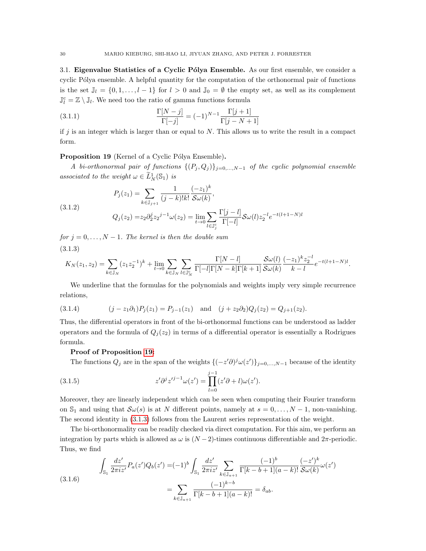<span id="page-29-1"></span>3.1. Eigenvalue Statistics of a Cyclic Pólya Ensemble. As our first ensemble, we consider a cyclic Pólya ensemble. A helpful quantity for the computation of the orthonormal pair of functions is the set  $\mathbb{J}_l = \{0, 1, \ldots, l-1\}$  for  $l > 0$  and  $\mathbb{J}_0 = \emptyset$  the empty set, as well as its complement  $\mathbb{J}_l^{\rm c}=\mathbb{Z}\setminus\mathbb{J}_l$ . We need too the ratio of gamma functions formula

(3.1.1) 
$$
\frac{\Gamma[N-j]}{\Gamma[-j]} = (-1)^{N-1} \frac{\Gamma[j+1]}{\Gamma[j-N+1]}
$$

if j is an integer which is larger than or equal to  $N$ . This allows us to write the result in a compact form.

## <span id="page-29-0"></span>Proposition 19 (Kernel of a Cyclic Pólya Ensemble).

A bi-orthonormal pair of functions  $\{(P_j,Q_j)\}_{j=0,\ldots,N-1}$  of the cyclic polynomial ensemble associated to the weight  $\omega \in \widetilde{L}_N^1(\mathbb{S}_1)$  is

(3.1.2)  

$$
P_j(z_1) = \sum_{k \in \mathbb{J}_{j+1}} \frac{1}{(j-k)!k!} \frac{(-z_1)^k}{\mathcal{S}\omega(k)},
$$

$$
Q_j(z_2) = z_2 \partial_2^j z_2^{j-1} \omega(z_2) = \lim_{t \to 0} \sum_{l \in \mathbb{J}_j^c} \frac{\Gamma[j-l]}{\Gamma[-l]} \mathcal{S}\omega(l) z_2^{-l} e^{-t(l+1-N)l}
$$

for  $j = 0, \ldots, N - 1$ . The kernel is then the double sum (3.1.3)

<span id="page-29-2"></span>
$$
K_N(z_1, z_2) = \sum_{k \in \mathbb{J}_N} (z_1 z_2^{-1})^k + \lim_{t \to 0} \sum_{k \in \mathbb{J}_N} \sum_{l \in \mathbb{J}_N^c} \frac{\Gamma[N-l]}{\Gamma[-l]\Gamma[N-k]\Gamma[k+1]} \frac{\mathcal{S}\omega(l)}{\mathcal{S}\omega(k)} \frac{(-z_1)^k z_2^{-l}}{k-l} e^{-t(l+1-N)l}.
$$

We underline that the formulas for the polynomials and weights imply very simple recurrence relations,

(3.1.4) 
$$
(j - z_1 \partial_1) P_j(z_1) = P_{j-1}(z_1) \text{ and } (j + z_2 \partial_2) Q_j(z_2) = Q_{j+1}(z_2).
$$

Thus, the differential operators in front of the bi-orthonormal functions can be understood as ladder operators and the formula of  $Q_j(z_2)$  in terms of a differential operator is essentially a Rodrigues formula.

### Proof of Proposition [19:](#page-29-0)

The functions  $Q_j$  are in the span of the weights  $\{(-z'\partial)^j \omega(z')\}_{j=0,\dots,N-1}$  because of the identity

(3.1.5) 
$$
z'\partial^j z'^{j-1}\omega(z') = \prod_{l=0}^{j-1} (z'\partial + l)\omega(z').
$$

Moreover, they are linearly independent which can be seen when computing their Fourier transform on  $\mathbb{S}_1$  and using that  $\mathcal{S}\omega(s)$  is at N different points, namely at  $s = 0, \ldots, N-1$ , non-vanishing. The second identity in [\(3.1.3\)](#page-29-2) follows from the Laurent series representation of the weight.

The bi-orthonormality can be readily checked via direct computation. For this aim, we perform an integration by parts which is allowed as  $\omega$  is  $(N-2)$ -times continuous differentiable and  $2\pi$ -periodic. Thus, we find

$$
\int_{\mathbb{S}_1} \frac{dz'}{2\pi i z'} P_a(z') Q_b(z') = (-1)^b \int_{\mathbb{S}_1} \frac{dz'}{2\pi i z'} \sum_{k \in \mathbb{J}_{a+1}} \frac{(-1)^b}{\Gamma[k-b+1](a-k)!} \frac{(-z')^k}{\mathcal{S}\omega(k)} \omega(z')
$$
\n
$$
= \sum_{k \in \mathbb{J}_{a+1}} \frac{(-1)^{k-b}}{\Gamma[k-b+1](a-k)!} = \delta_{ab}.
$$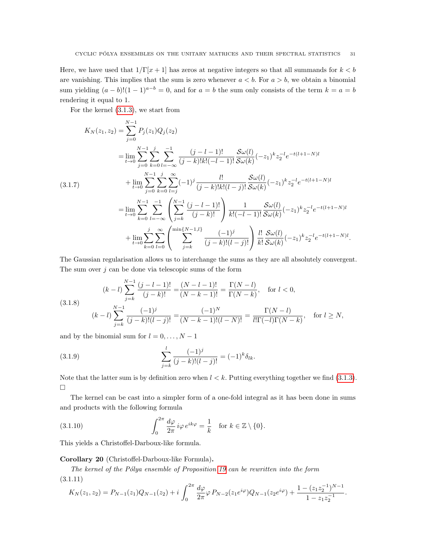Here, we have used that  $1/\Gamma[x+1]$  has zeros at negative integers so that all summands for  $k < b$ are vanishing. This implies that the sum is zero whenever  $a < b$ . For  $a > b$ , we obtain a binomial sum yielding  $(a - b)!$  $(1 - 1)^{a - b} = 0$ , and for  $a = b$  the sum only consists of the term  $k = a = b$ rendering it equal to 1.

For the kernel [\(3.1.3\)](#page-29-2), we start from

$$
K_{N}(z_{1}, z_{2}) = \sum_{j=0}^{N-1} P_{j}(z_{1})Q_{j}(z_{2})
$$
  
\n
$$
= \lim_{t \to 0} \sum_{j=0}^{N-1} \sum_{k=0}^{j} \sum_{l=-\infty}^{-1} \frac{(j-l-1)!}{(j-k)!k!(-l-1)!} \frac{\mathcal{S}\omega(l)}{\mathcal{S}\omega(k)}(-z_{1})^{k} z_{2}^{-l} e^{-t(l+1-N)l}
$$
  
\n
$$
+ \lim_{t \to 0} \sum_{j=0}^{N-1} \sum_{k=0}^{j} \sum_{l=j}^{\infty} (-1)^{j} \frac{l!}{(j-k)!k!(l-j)!} \frac{\mathcal{S}\omega(l)}{\mathcal{S}\omega(k)}(-z_{1})^{k} z_{2}^{-l} e^{-t(l+1-N)l}
$$
  
\n
$$
= \lim_{t \to 0} \sum_{k=0}^{N-1} \sum_{l=-\infty}^{-1} \left( \sum_{j=k}^{N-1} \frac{(j-l-1)!}{(j-k)!} \right) \frac{1}{k!(-l-1)!} \frac{\mathcal{S}\omega(l)}{\mathcal{S}\omega(k)}(-z_{1})^{k} z_{2}^{-l} e^{-t(l+1-N)l}
$$
  
\n
$$
+ \lim_{t \to 0} \sum_{k=0}^{j} \sum_{l=0}^{\infty} \left( \sum_{j=k}^{\min\{N-1,l\}} \frac{(-1)^{j}}{(j-k)!(l-j)!} \right) \frac{l!}{k!} \frac{\mathcal{S}\omega(l)}{\mathcal{S}\omega(k)}(-z_{1})^{k} z_{2}^{-l} e^{-t(l+1-N)l}.
$$

The Gaussian regularisation allows us to interchange the sums as they are all absolutely convergent. The sum over  $j$  can be done via telescopic sums of the form

$$
(k-l)\sum_{j=k}^{N-1} \frac{(j-l-1)!}{(j-k)!} = \frac{(N-l-1)!}{(N-k-1)!} = \frac{\Gamma(N-l)}{\Gamma(N-k)}, \quad \text{for } l < 0,
$$
\n
$$
(k-l)\sum_{j=k}^{N-1} \frac{(-1)^j}{(j-k)!(l-j)!} = \frac{(-1)^N}{(N-k-1)!(l-N)!} = \frac{\Gamma(N-l)}{l!\Gamma(-l)\Gamma(N-k)}, \quad \text{for } l \ge N,
$$

and by the binomial sum for  $l = 0, \ldots, N - 1$ 

(3.1.9) 
$$
\sum_{j=k}^{l} \frac{(-1)^j}{(j-k)!(l-j)!} = (-1)^k \delta_{lk}.
$$

Note that the latter sum is by definition zero when  $l < k$ . Putting everything together we find [\(3.1.3\)](#page-29-2).  $\Box$ 

The kernel can be cast into a simpler form of a one-fold integral as it has been done in sums and products with the following formula

<span id="page-30-2"></span>(3.1.10) 
$$
\int_0^{2\pi} \frac{d\varphi}{2\pi} i\varphi e^{ik\varphi} = \frac{1}{k} \text{ for } k \in \mathbb{Z} \setminus \{0\}.
$$

This yields a Christoffel-Darboux-like formula.

## <span id="page-30-0"></span>Corollary 20 (Christoffel-Darboux-like Formula).

The kernel of the Pólya ensemble of Proposition [19](#page-29-0) can be rewritten into the form (3.1.11)

<span id="page-30-1"></span>
$$
K_N(z_1, z_2) = P_{N-1}(z_1)Q_{N-1}(z_2) + i \int_0^{2\pi} \frac{d\varphi}{2\pi} \varphi P_{N-2}(z_1 e^{i\varphi}) Q_{N-1}(z_2 e^{i\varphi}) + \frac{1 - (z_1 z_2^{-1})^{N-1}}{1 - z_1 z_2^{-1}}.
$$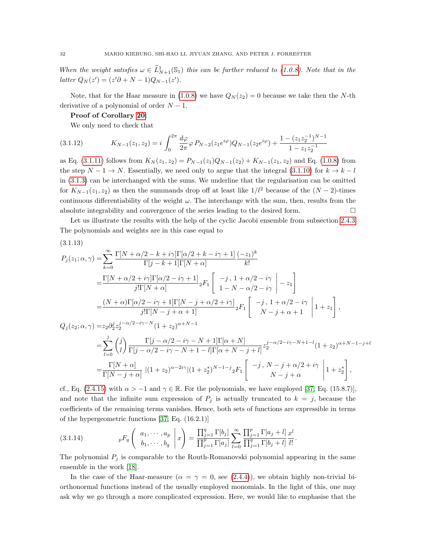When the weight satisfies  $\omega \in \tilde{L}_{N+1}^1(\mathbb{S}_1)$  this can be further reduced to [\(1.0.8\)](#page-2-4). Note that in the  $latter Q_N(z') = (z'\partial + N - 1)Q_{N-1}(z').$ 

Note, that for the Haar measure in [\(1.0.8\)](#page-2-4) we have  $Q_N(z_2) = 0$  because we take then the N-th derivative of a polynomial of order  $N-1$ .

Proof of Corollary [20:](#page-30-0)

We only need to check that

$$
(3.1.12) \t K_{N-1}(z_1, z_2) = i \int_0^{2\pi} \frac{d\varphi}{2\pi} \varphi P_{N-2}(z_1 e^{i\varphi}) Q_{N-1}(z_2 e^{i\varphi}) + \frac{1 - (z_1 z_2^{-1})^{N-1}}{1 - z_1 z_2^{-1}}
$$

as Eq. [\(3.1.11\)](#page-30-1) follows from  $K_N(z_1, z_2) = P_{N-1}(z_1)Q_{N-1}(z_2) + K_{N-1}(z_1, z_2)$  and Eq. [\(1.0.8\)](#page-2-4) from the step  $N - 1 \rightarrow N$ . Essentially, we need only to argue that the integral [\(3.1.10\)](#page-30-2) for  $k \rightarrow k - l$ in [\(3.1.3\)](#page-29-2) can be interchanged with the sums. We underline that the regularisation can be omitted for  $K_{N-1}(z_1, z_2)$  as then the summands drop off at least like  $1/l^2$  because of the  $(N-2)$ -times continuous differentiability of the weight  $\omega$ . The interchange with the sum, then, results from the absolute integrability and convergence of the series leading to the desired form.

Let us illustrate the results with the help of the cyclic Jacobi ensemble from subsection [2.4.3.](#page-17-0) The polynomials and weights are in this case equal to

$$
(3.1.13)
$$

$$
P_{j}(z_{1}; \alpha, \gamma) = \sum_{k=0}^{\infty} \frac{\Gamma[N + \alpha/2 - k + i\gamma]\Gamma[\alpha/2 + k - i\gamma + 1]}{\Gamma[j - k + 1]\Gamma[N + \alpha]} \frac{(-z_{1})^{k}}{k!}
$$
  
\n
$$
= \frac{\Gamma[N + \alpha/2 + i\gamma]\Gamma[\alpha/2 - i\gamma + 1]}{j!\Gamma[N + \alpha]} {}_{2}F_{1} \left[ \begin{array}{c} -j, 1 + \alpha/2 - i\gamma \\ 1 - N - \alpha/2 - i\gamma \end{array} \Big| - z_{1} \right]
$$
  
\n
$$
= \frac{(N + \alpha)\Gamma[\alpha/2 - i\gamma + 1]\Gamma[N - j + \alpha/2 + i\gamma]}{j!\Gamma[N - j + \alpha + 1]} {}_{2}F_{1} \left[ \begin{array}{c} -j, 1 + \alpha/2 - i\gamma \\ N - j + \alpha + 1 \end{array} \Big| 1 + z_{1} \right],
$$
  
\n
$$
Q_{j}(z_{2}; \alpha, \gamma) = z_{2}\partial_{2}^{j}z_{2}^{j - \alpha/2 - i\gamma - N} (1 + z_{2})^{\alpha + N - 1}
$$
  
\n
$$
= \sum_{l=0}^{j} {j \choose l} \frac{\Gamma[j - \alpha/2 - i\gamma - N + 1]\Gamma[\alpha + N]}{\Gamma[j - \alpha/2 - i\gamma - N + 1 - l]\Gamma[\alpha + N - j + l]} z_{2}^{j - \alpha/2 - i\gamma - N + 1 - l} (1 + z_{2})^{\alpha + N - 1 - j + l}
$$
  
\n
$$
= \frac{\Gamma[N + \alpha]}{\Gamma[N - j + \alpha]} |(1 + z_{2})^{\alpha - 2i\gamma}| (1 + z_{2}^{*})^{N - 1 - j} {}_{2}F_{1} \left[ \begin{array}{c} -j, N - j + \alpha/2 + i\gamma \\ N - j + \alpha \end{array} \Big| 1 + z_{2}^{*} \right],
$$

cf., Eq. [\(2.4.15\)](#page-18-1) with  $\alpha > -1$  and  $\gamma \in \mathbb{R}$ . For the polynomials, we have employed [\[37,](#page-35-12) Eq. (15.8.7)], and note that the infinite sum expression of  $P_j$  is actually truncated to  $k = j$ , because the coefficients of the remaining terms vanishes. Hence, both sets of functions are expressible in terms of the hypergeometric functions [\[37,](#page-35-12) Eq. (16.2.1)]

(3.1.14) 
$$
{}_{p}F_{q}\left(\begin{array}{c} a_{1}, \cdots, a_{p} \\ b_{1}, \cdots, b_{q} \end{array} \bigg| x\right) = \frac{\prod_{j=1}^{q} \Gamma[b_{j}]}{\prod_{j=1}^{p} \Gamma[a_{j}]} \sum_{l=0}^{\infty} \frac{\prod_{j=1}^{p} \Gamma[a_{j}+l]}{\prod_{j=1}^{q} \Gamma[b_{j}+l]} \frac{x^{l}}{l!}.
$$

The polynomial  $P_j$  is comparable to the Routh-Romanovski polynomial appearing in the same ensemble in the work [\[18\]](#page-34-0).

In the case of the Haar-measure ( $\alpha = \gamma = 0$ , see [\(2.4.4\)](#page-16-0)), we obtain highly non-trivial biorthonormal functions instead of the usually employed monomials. In the light of this, one may ask why we go through a more complicated expression. Here, we would like to emphasise that the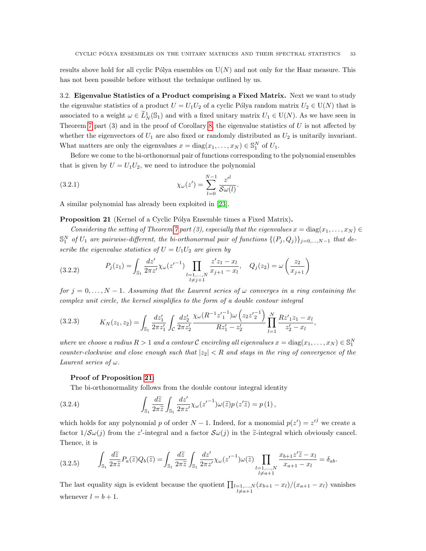results above hold for all cyclic Pólya ensembles on  $U(N)$  and not only for the Haar measure. This has not been possible before without the technique outlined by us.

<span id="page-32-0"></span>3.2. Eigenvalue Statistics of a Product comprising a Fixed Matrix. Next we want to study the eigenvalue statistics of a product  $U = U_1U_2$  of a cyclic Pólya random matrix  $U_2 \in U(N)$  that is associated to a weight  $\omega \in \tilde{L}^1_N(\mathbb{S}_1)$  and with a fixed unitary matrix  $U_1 \in U(N)$ . As we have seen in Theorem [7](#page-12-0) part  $(3)$  and in the proof of Corollary [8,](#page-13-0) the eigenvalue statistics of U is not affected by whether the eigenvectors of  $U_1$  are also fixed or randomly distributed as  $U_2$  is unitarily invariant. What matters are only the eigenvalues  $x = diag(x_1, ..., x_N) \in \mathbb{S}_1^N$  of  $U_1$ .

Before we come to the bi-orthonormal pair of functions corresponding to the polynomial ensembles that is given by  $U = U_1 U_2$ , we need to introduce the polynomial

<span id="page-32-3"></span>.

(3.2.1) 
$$
\chi_{\omega}(z') = \sum_{l=0}^{N-1} \frac{z'^l}{\mathcal{S}\omega(l)}
$$

A similar polynomial has already been exploited in [\[23\]](#page-35-6).

<span id="page-32-1"></span>**Proposition 21** (Kernel of a Cyclic Pólya Ensemble times a Fixed Matrix).

Considering the setting of Theorem [7](#page-12-0) part (3), especially that the eigenvalues  $x = diag(x_1, \ldots, x_N) \in$  $\mathbb{S}_1^N$  of  $U_1$  are pairwise-different, the bi-orthonormal pair of functions  $\{(P_j, Q_j)\}_{j=0,\dots,N-1}$  that describe the eigenvalue statistics of  $U = U_1U_2$  are given by

(3.2.2) 
$$
P_j(z_1) = \int_{\mathbb{S}_1} \frac{dz'}{2\pi z'} \chi_{\omega}(z'^{-1}) \prod_{\substack{l=1,\ldots,N \\ l \neq j+1}} \frac{z'z_1 - x_l}{x_{j+1} - x_l}, \quad Q_j(z_2) = \omega\left(\frac{z_2}{x_{j+1}}\right)
$$

for  $j = 0, \ldots, N-1$ . Assuming that the Laurent series of  $\omega$  converges in a ring containing the complex unit circle, the kernel simplifies to the form of a double contour integral

<span id="page-32-2"></span>
$$
(3.2.3) \t K_N(z_1, z_2) = \int_{\mathbb{S}_1} \frac{dz'_1}{2\pi z'_1} \int_{\mathcal{C}} \frac{dz'_2}{2\pi z'_2} \frac{\chi_{\omega}(R^{-1}z'_1^{-1})\omega\left(z_2 z'_2^{-1}\right)}{Rz'_1 - z'_2} \prod_{l=1}^N \frac{Rz'_{12}}{z'_2 - x_l},
$$

where we choose a radius  $R > 1$  and a contour  $C$  encircling all eigenvalues  $x = diag(x_1, \ldots, x_N) \in \mathbb{S}_1^N$ counter-clockwise and close enough such that  $|z_2|$  < R and stays in the ring of convergence of the Laurent series of  $\omega$ .

## Proof of Proposition [21:](#page-32-1)

<span id="page-32-4"></span>The bi-orthonormality follows from the double contour integral identity

(3.2.4) 
$$
\int_{\mathbb{S}_1} \frac{d\widetilde{z}}{2\pi \widetilde{z}} \int_{\mathbb{S}_1} \frac{dz'}{2\pi z'} \chi_{\omega}(z'^{-1}) \omega(\widetilde{z}) p(z'\widetilde{z}) = p(1),
$$

which holds for any polynomial p of order  $N-1$ . Indeed, for a monomial  $p(z') = z'^{j}$  we create a factor  $1/\mathcal{S}\omega(j)$  from the z'-integral and a factor  $\mathcal{S}\omega(j)$  in the  $\tilde{z}$ -integral which obviously cancel. Thence, it is

$$
(3.2.5) \qquad \int_{\mathbb{S}_1} \frac{d\widetilde{z}}{2\pi \widetilde{z}} P_a(\widetilde{z}) Q_b(\widetilde{z}) = \int_{\mathbb{S}_1} \frac{d\widetilde{z}}{2\pi \widetilde{z}} \int_{\mathbb{S}_1} \frac{dz'}{2\pi z'} \chi_{\omega}(z'^{-1}) \omega(\widetilde{z}) \prod_{\substack{l=1,\ldots,N \\ l \neq a+1}} \frac{x_{b+1} z' \widetilde{z} - x_l}{x_{a+1} - x_l} = \delta_{ab}.
$$

The last equality sign is evident because the quotient  $\prod_{\substack{l=1,\ldots,N}} (x_{b+1} - x_l)/(x_{a+1} - x_l)$  vanishes whenever  $l = b + 1$ .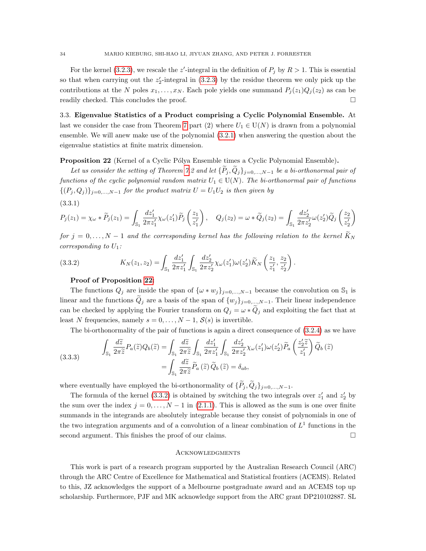For the kernel [\(3.2.3\)](#page-32-2), we rescale the z'-integral in the definition of  $P_j$  by  $R > 1$ . This is essential so that when carrying out the  $z_2'$ -integral in [\(3.2.3\)](#page-32-2) by the residue theorem we only pick up the contributions at the N poles  $x_1, \ldots, x_N$ . Each pole yields one summand  $P_i(z_1)Q_i(z_2)$  as can be readily checked. This concludes the proof.

<span id="page-33-0"></span>3.3. Eigenvalue Statistics of a Product comprising a Cyclic Polynomial Ensemble. At last we consider the case from Theorem [7](#page-12-0) part (2) where  $U_1 \in U(N)$  is drawn from a polynomial ensemble. We will anew make use of the polynomial [\(3.2.1\)](#page-32-3) when answering the question about the eigenvalue statistics at finite matrix dimension.

## <span id="page-33-1"></span>Proposition 22 (Kernel of a Cyclic Pólya Ensemble times a Cyclic Polynomial Ensemble).

Let us consider the setting of Theorem [7.](#page-12-0)2 and let  $\{\widetilde{P}_j,\widetilde{Q}_j\}_{j=0,\ldots,N-1}$  be a bi-orthonormal pair of functions of the cyclic polynomial random matrix  $U_1 \in U(N)$ . The bi-orthonormal pair of functions  $\{(P_j, Q_j)\}_{j=0,\dots,N-1}$  for the product matrix  $U = U_1U_2$  is then given by

(3.3.1)

$$
P_j(z_1) = \chi_\omega * \widetilde{P}_j(z_1) = \int_{\mathbb{S}_1} \frac{dz'_1}{2\pi z'_1} \chi_\omega(z'_1) \widetilde{P}_j\left(\frac{z_1}{z'_1}\right), \quad Q_j(z_2) = \omega * \widetilde{Q}_j(z_2) = \int_{\mathbb{S}_1} \frac{dz'_2}{2\pi z'_2} \omega(z'_2) \widetilde{Q}_j\left(\frac{z_2}{z'_2}\right)
$$

for  $j = 0, \ldots, N-1$  and the corresponding kernel has the following relation to the kernel  $\bar{K}_N$ corresponding to  $U_1$ :

<span id="page-33-2"></span>(3.3.2) 
$$
K_N(z_1, z_2) = \int_{\mathbb{S}_1} \frac{dz'_1}{2\pi z'_1} \int_{\mathbb{S}_1} \frac{dz'_2}{2\pi z'_2} \chi_\omega(z'_1) \omega(z'_2) \widetilde{K}_N\left(\frac{z_1}{z'_1}, \frac{z_2}{z'_2}\right).
$$

#### Proof of Proposition [22:](#page-33-1)

The functions  $Q_j$  are inside the span of  $\{\omega * w_j\}_{j=0,\dots,N-1}$  because the convolution on  $\mathbb{S}_1$  is linear and the functions  $\tilde{Q}_j$  are a basis of the span of  $\{w_j\}_{j=0,\dots,N-1}$ . Their linear independence can be checked by applying the Fourier transform on  $Q_j = \omega * Q_j$  and exploiting the fact that at least N frequencies, namely  $s = 0, \ldots, N-1$ ,  $S(s)$  is invertible.

The bi-orthonormality of the pair of functions is again a direct consequence of [\(3.2.4\)](#page-32-4) as we have

(3.3.3)  

$$
\int_{\mathbb{S}_1} \frac{d\widetilde{z}}{2\pi \widetilde{z}} P_a(\widetilde{z}) Q_b(\widetilde{z}) = \int_{\mathbb{S}_1} \frac{d\widetilde{z}}{2\pi \widetilde{z}} \int_{\mathbb{S}_1} \frac{dz'_1}{2\pi z'_1} \int_{\mathbb{S}_1} \frac{dz'_2}{2\pi z'_2} \chi_{\omega}(z'_1) \omega(z'_2) \widetilde{P}_a\left(\frac{z'_2 \widetilde{z}}{z'_1}\right) \widetilde{Q}_b(\widetilde{z})
$$

$$
= \int_{\mathbb{S}_1} \frac{d\widetilde{z}}{2\pi \widetilde{z}} \widetilde{P}_a(\widetilde{z}) \widetilde{Q}_b(\widetilde{z}) = \delta_{ab},
$$

where eventually have employed the bi-orthonormality of  $\{\widetilde{P}_j, \widetilde{Q}_j\}_{j=0,\ldots,N-1}$ .

The formula of the kernel [\(3.3.2\)](#page-33-2) is obtained by switching the two integrals over  $z'_1$  and  $z'_2$  by the sum over the index  $j = 0, \ldots, N - 1$  in [\(2.1.1\)](#page-3-2). This is allowed as the sum is one over finite summands in the integrands are absolutely integrable because they consist of polynomials in one of the two integration arguments and of a convolution of a linear combination of  $L<sup>1</sup>$  functions in the second argument. This finishes the proof of our claims.  $\square$ 

#### **ACKNOWLEDGMENTS**

This work is part of a research program supported by the Australian Research Council (ARC) through the ARC Centre of Excellence for Mathematical and Statistical frontiers (ACEMS). Related to this, JZ acknowledges the support of a Melbourne postgraduate award and an ACEMS top up scholarship. Furthermore, PJF and MK acknowledge support from the ARC grant DP210102887. SL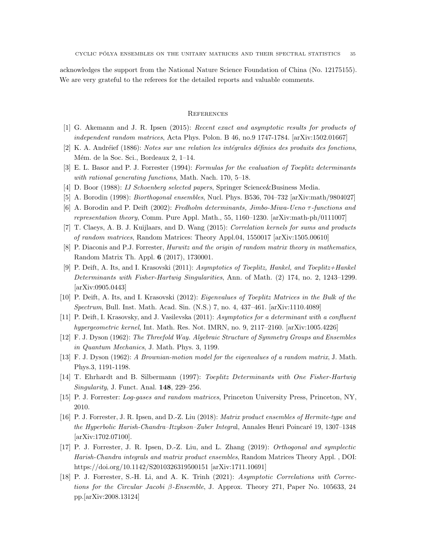acknowledges the support from the National Nature Science Foundation of China (No. 12175155). We are very grateful to the referees for the detailed reports and valuable comments.

## **REFERENCES**

- <span id="page-34-3"></span>[1] G. Akemann and J. R. Ipsen (2015): Recent exact and asymptotic results for products of independent random matrices, Acta Phys. Polon. B 46, no.9 1747-1784. [arXiv:1502.01667]
- <span id="page-34-7"></span>[2] K. A. Andréief (1886): Notes sur une relation les intégrales définies des produits des fonctions, Mém. de la Soc. Sci., Bordeaux 2, 1–14.
- <span id="page-34-13"></span>[3] E. L. Basor and P. J. Forrester (1994): Formulas for the evaluation of Toeplitz determinants with rational generating functions, Math. Nach. 170, 5-18.
- <span id="page-34-14"></span>[4] D. Boor (1988): IJ Schoenberg selected papers, Springer Science&Business Media.
- <span id="page-34-5"></span><span id="page-34-4"></span>[5] A. Borodin (1998): *Biorthogonal ensembles*, Nucl. Phys. B536, 704–732 [arXiv:math/9804027]
- [6] A. Borodin and P. Deift (2002): Fredholm determinants, Jimbo-Miwa-Ueno τ -functions and representation theory, Comm. Pure Appl. Math., 55, 1160–1230. [arXiv:math-ph/0111007]
- [7] T. Claeys, A. B. J. Kuijlaars, and D. Wang (2015): Correlation kernels for sums and products of random matrices, Random Matrices: Theory Appl.04, 1550017 [arXiv:1505.00610]
- <span id="page-34-8"></span>[8] P. Diaconis and P.J. Forrester, Hurwitz and the origin of random matrix theory in mathematics, Random Matrix Th. Appl. 6 (2017), 1730001.
- <span id="page-34-11"></span>[9] P. Deift, A. Its, and I. Krasovski (2011): Asymptotics of Toeplitz, Hankel, and Toeplitz+Hankel Determinants with Fisher-Hartwig Singularities, Ann. of Math. (2) 174, no. 2, 1243–1299. [arXiv:0905.0443]
- [10] P. Deift, A. Its, and I. Krasovski (2012): Eigenvalues of Toeplitz Matrices in the Bulk of the Spectrum, Bull. Inst. Math. Acad. Sin. (N.S.) 7, no. 4, 437–461. [arXiv:1110.4089]
- <span id="page-34-12"></span>[11] P. Deift, I. Krasovsky, and J. Vasilevska (2011): Asymptotics for a determinant with a confluent hypergeometric kernel, Int. Math. Res. Not. IMRN, no. 9, 2117–2160. [arXiv:1005.4226]
- <span id="page-34-6"></span>[12] F. J. Dyson (1962): The Threefold Way. Algebraic Structure of Symmetry Groups and Ensembles in Quantum Mechanics, J. Math. Phys. 3, 1199.
- [13] F. J. Dyson (1962): A Brownian-motion model for the eigenvalues of a random matrix, J. Math. Phys.3, 1191-1198.
- <span id="page-34-9"></span>[14] T. Ehrhardt and B. Silbermann (1997): Toeplitz Determinants with One Fisher-Hartwig Singularity, J. Funct. Anal. 148, 229–256.
- <span id="page-34-10"></span>[15] P. J. Forrester: Log-gases and random matrices, Princeton University Press, Princeton, NY, 2010.
- <span id="page-34-2"></span>[16] P. J. Forrester, J. R. Ipsen, and D.-Z. Liu (2018): Matrix product ensembles of Hermite-type and the Hyperbolic Harish-Chandra–Itzykson–Zuber Integral, Annales Henri Poincaré 19, 1307–1348 [arXiv:1702.07100].
- <span id="page-34-1"></span>[17] P. J. Forrester, J. R. Ipsen, D.-Z. Liu, and L. Zhang (2019): Orthogonal and symplectic Harish-Chandra integrals and matrix product ensembles, Random Matrices Theory Appl. , DOI: https://doi.org/10.1142/S2010326319500151 [arXiv:1711.10691]
- <span id="page-34-0"></span>[18] P. J. Forrester, S.-H. Li, and A. K. Trinh (2021): Asymptotic Correlations with Corrections for the Circular Jacobi β-Ensemble, J. Approx. Theory 271, Paper No. 105633, 24 pp.[arXiv:2008.13124]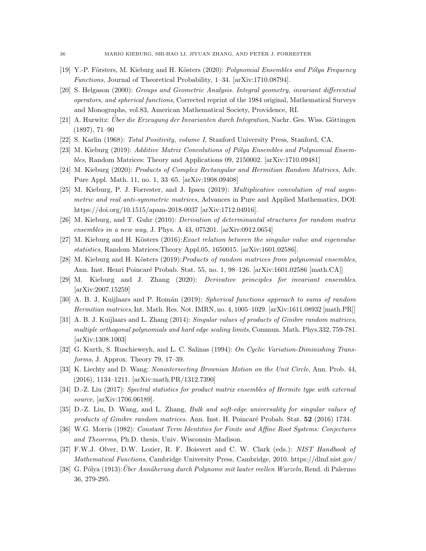- <span id="page-35-0"></span>[19] Y.-P. Försters, M. Kieburg and H. Kösters (2020): Polynomial Ensembles and Pólya Frequency Functions, Journal of Theoretical Probability, 1–34. [arXiv:1710.08794].
- <span id="page-35-10"></span>[20] S. Helgason (2000): Groups and Geometric Analysis. Integral geometry, invariant differential operators, and spherical functions, Corrected reprint of the 1984 original, Mathematical Surveys and Monographs, vol.83, American Mathematical Society, Providence, RI.
- <span id="page-35-16"></span> $[21]$  A. Hurwitz: *Über die Erzeugung der Invarianten durch Integration*, Nachr. Ges. Wiss. Göttingen (1897), 71–90
- <span id="page-35-18"></span><span id="page-35-6"></span>[22] S. Karlin (1968): Total Positivity, volume I, Stanford University Press, Stanford, CA.
- [23] M. Kieburg (2019): Additive Matrix Convolutions of Pólya Ensembles and Polynomial Ensembles, Random Matrices: Theory and Applications 09, 2150002. [arXiv:1710.09481]
- <span id="page-35-8"></span>[24] M. Kieburg (2020): Products of Complex Rectangular and Hermitian Random Matrices, Adv. Pure Appl. Math. 11, no. 1, 33–65. [arXiv:1908.09408]
- <span id="page-35-7"></span>[25] M. Kieburg, P. J. Forrester, and J. Ipsen (2019): Multiplicative convolution of real asymmetric and real anti-symmetric matrices, Advances in Pure and Applied Mathematics, DOI: https://doi.org/10.1515/apam-2018-0037 [arXiv:1712.04916].
- <span id="page-35-14"></span>[26] M. Kieburg, and T. Guhr (2010): Derivation of determinantal structures for random matrix ensembles in a new way, J. Phys. A 43, 075201. [arXiv:0912.0654]
- <span id="page-35-1"></span> $[27]$  M. Kieburg and H. Kösters  $(2016)$ : *Exact relation between the singular value and eigenvalue* statistics, Random Matrices:Theory Appl.05, 1650015. [arXiv:1601.02586].
- <span id="page-35-2"></span>[28] M. Kieburg and H. Kösters (2019): Products of random matrices from polynomial ensembles, Ann. Inst. Henri Poincaré Probab. Stat. 55, no. 1, 98–126. [arXiv:1601.02586 [math.CA]]
- <span id="page-35-19"></span>[29] M. Kieburg and J. Zhang (2020): Derivative principles for invariant ensembles. [arXiv:2007.15259]
- <span id="page-35-3"></span>[30] A. B. J. Kuijlaars and P. Román (2019): Spherical functions approach to sums of random Hermitian matrices, Int. Math. Res. Not. IMRN, no. 4, 1005–1029. [arXiv:1611.08932 [math.PR]]
- <span id="page-35-13"></span>[31] A. B. J. Kuijlaars and L. Zhang (2014): Singular values of products of Ginibre random matrices, multiple orthogonal polynomials and hard edge scaling limits, Commun. Math. Phys.332, 759-781. [arXiv:1308.1003]
- <span id="page-35-11"></span>[32] G. Kurth, S. Ruschieweyh, and L. C. Salinas (1994): On Cyclic Variation-Diminishing Transforms, J. Approx. Theory 79, 17–39.
- <span id="page-35-15"></span>[33] K. Liechty and D. Wang: Nonintersecting Brownian Motion on the Unit Circle, Ann. Prob. 44, (2016), 1134–1211. [arXiv:math.PR/1312.7390]
- <span id="page-35-9"></span>[34] D.-Z. Liu (2017): Spectral statistics for product matrix ensembles of Hermite type with external source, [arXiv:1706.06189].
- <span id="page-35-5"></span>[35] D.-Z. Liu, D. Wang, and L. Zhang, Bulk and soft-edge universality for singular values of products of Ginibre random matrices. Ann. Inst. H. Poincaré Probab. Stat. 52 (2016) 1734.
- <span id="page-35-17"></span>[36] W.G. Morris (1982): Constant Term Identities for Finite and Affine Root Systems: Conjectures and Theorems, Ph.D. thesis, Univ. Wisconsin–Madison.
- <span id="page-35-12"></span>[37] F.W.J. Olver, D.W. Lozier, R. F. Boisvert and C. W. Clark (eds.): NIST Handbook of Mathematical Functions, Cambridge University Press, Cambridge, 2010. https://dlmf.nist.gov/
- <span id="page-35-4"></span>[38] G. Pólya (1913): Uber Annäherung durch Polynome mit lauter reellen Wurzeln, Rend. di Palermo 36, 279-295.